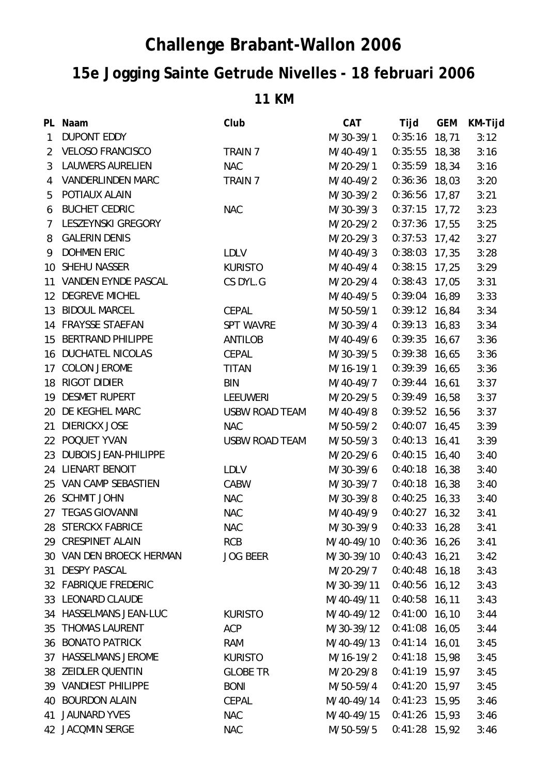## **Challenge Brabant-Wallon 2006**

## **15e Jogging Sainte Getrude Nivelles - 18 februari 2006**

**11 KM**

|                 | PL Naam                     | Club                  | <b>CAT</b>              | Tijd            | <b>GEM</b> | KM-Tijd |
|-----------------|-----------------------------|-----------------------|-------------------------|-----------------|------------|---------|
| $\mathbf{1}$    | <b>DUPONT EDDY</b>          |                       | M/30-39/1               | $0:35:16$ 18,71 |            | 3:12    |
| $\overline{2}$  | <b>VELOSO FRANCISCO</b>     | TRAIN 7               | M/40-49/1               | $0:35:55$ 18,38 |            | 3:16    |
| 3               | <b>LAUWERS AURELIEN</b>     | <b>NAC</b>            | M/20-29/1               | $0:35:59$ 18,34 |            | 3:16    |
| 4               | <b>VANDERLINDEN MARC</b>    | TRAIN 7               | M/40-49/2               | $0:36:36$ 18,03 |            | 3:20    |
| 5               | POTIAUX ALAIN               |                       | M/30-39/2               | $0:36:56$ 17,87 |            | 3:21    |
| 6               | <b>BUCHET CEDRIC</b>        | <b>NAC</b>            | M/30-39/3               | $0:37:15$ 17,72 |            | 3:23    |
| 7               | LESZEYNSKI GREGORY          |                       | M/20-29/2               | $0:37:36$ 17,55 |            | 3:25    |
| 8               | <b>GALERIN DENIS</b>        |                       | M/20-29/3               | $0:37:53$ 17,42 |            | 3:27    |
| 9               | <b>DOHMEN ERIC</b>          | <b>LDLV</b>           | M/40-49/3               | $0:38:03$ 17,35 |            | 3:28    |
|                 | 10 SHEHU NASSER             | <b>KURISTO</b>        | M/40-49/4               | $0:38:15$ 17,25 |            | 3:29    |
|                 | 11 VANDEN EYNDE PASCAL      | CS DYL.G              | M/20-29/4               | $0:38:43$ 17,05 |            | 3:31    |
|                 | 12 DEGREVE MICHEL           |                       | M/40-49/5               | $0:39:04$ 16,89 |            | 3:33    |
|                 | 13 BIDOUL MARCEL            | <b>CEPAL</b>          | M/50-59/1               | $0:39:12$ 16,84 |            | 3:34    |
|                 | 14 FRAYSSE STAEFAN          | <b>SPT WAVRE</b>      | M/30-39/4               | $0:39:13$ 16,83 |            | 3:34    |
| 15 <sub>1</sub> | <b>BERTRAND PHILIPPE</b>    | <b>ANTILOB</b>        | M/40-49/6               | $0:39:35$ 16,67 |            | 3:36    |
|                 | <b>16 DUCHATEL NICOLAS</b>  | <b>CEPAL</b>          | M/30-39/5               | $0:39:38$ 16,65 |            | 3:36    |
| 17              | <b>COLON JEROME</b>         | <b>TITAN</b>          | M/16-19/1               | $0:39:39$ 16,65 |            | 3:36    |
| 18              | <b>RIGOT DIDIER</b>         | <b>BIN</b>            | M/40-49/7               | $0:39:44$ 16,61 |            | 3:37    |
| 19              | <b>DESMET RUPERT</b>        | <b>LEEUWERI</b>       | M/20-29/5               | $0:39:49$ 16,58 |            | 3:37    |
| 20              | DE KEGHEL MARC              | <b>USBW ROAD TEAM</b> | M/40-49/8               | $0:39:52$ 16,56 |            | 3:37    |
| 21              | <b>DIERICKX JOSE</b>        | <b>NAC</b>            | M/50-59/2               | $0:40:07$ 16,45 |            | 3:39    |
|                 | 22 POQUET YVAN              | <b>USBW ROAD TEAM</b> | M/50-59/3               | $0:40:13$ 16,41 |            | 3:39    |
| 23              | <b>DUBOIS JEAN-PHILIPPE</b> |                       | M/20-29/6               | $0:40:15$ 16,40 |            | 3:40    |
|                 | 24 LIENART BENOIT           | <b>LDLV</b>           | M/30-39/6               | $0:40:18$ 16,38 |            | 3:40    |
|                 | 25 VAN CAMP SEBASTIEN       | CABW                  | M/30-39/7               | $0:40:18$ 16,38 |            | 3:40    |
|                 | 26 SCHMIT JOHN              | <b>NAC</b>            | M/30-39/8               | $0:40:25$ 16,33 |            | 3:40    |
| 27              | <b>TEGAS GIOVANNI</b>       | <b>NAC</b>            | M/40-49/9               | $0:40:27$ 16,32 |            | 3:41    |
|                 | 28 STERCKX FABRICE          | <b>NAC</b>            | M/30-39/9 0:40:33 16,28 |                 |            | 3:41    |
|                 | 29 CRESPINET ALAIN          | <b>RCB</b>            | M/40-49/10              | $0:40:36$ 16,26 |            | 3:41    |
|                 | 30 VAN DEN BROECK HERMAN    | <b>JOG BEER</b>       | M/30-39/10              | $0:40:43$ 16,21 |            | 3:42    |
| 31              | <b>DESPY PASCAL</b>         |                       | M/20-29/7               | $0:40:48$ 16,18 |            | 3:43    |
|                 | 32 FABRIQUE FREDERIC        |                       | M/30-39/11              | $0:40:56$ 16,12 |            | 3:43    |
|                 | 33 LEONARD CLAUDE           |                       | M/40-49/11              | $0:40:58$ 16,11 |            | 3:43    |
|                 | 34 HASSELMANS JEAN-LUC      | <b>KURISTO</b>        | M/40-49/12              | $0:41:00$ 16,10 |            | 3:44    |
| 35              | <b>THOMAS LAURENT</b>       | <b>ACP</b>            | M/30-39/12              | $0:41:08$ 16,05 |            | 3:44    |
| 36              | <b>BONATO PATRICK</b>       | <b>RAM</b>            | M/40-49/13              | $0:41:14$ 16,01 |            | 3:45    |
| 37              | <b>HASSELMANS JEROME</b>    | <b>KURISTO</b>        | M/16-19/2               | $0:41:18$ 15,98 |            | 3:45    |
| 38              | <b>ZEIDLER QUENTIN</b>      | <b>GLOBE TR</b>       | M/20-29/8               | $0:41:19$ 15,97 |            | 3:45    |
|                 | 39 VANDIEST PHILIPPE        | <b>BONI</b>           | M/50-59/4               | $0:41:20$ 15,97 |            | 3:45    |
| 40              | <b>BOURDON ALAIN</b>        | CEPAL                 | M/40-49/14              | $0:41:23$ 15,95 |            | 3:46    |
| 41              | <b>JAUNARD YVES</b>         | <b>NAC</b>            | M/40-49/15              | $0:41:26$ 15,93 |            | 3:46    |
|                 | 42 JACQMIN SERGE            | <b>NAC</b>            | M/50-59/5               | $0:41:28$ 15,92 |            | 3:46    |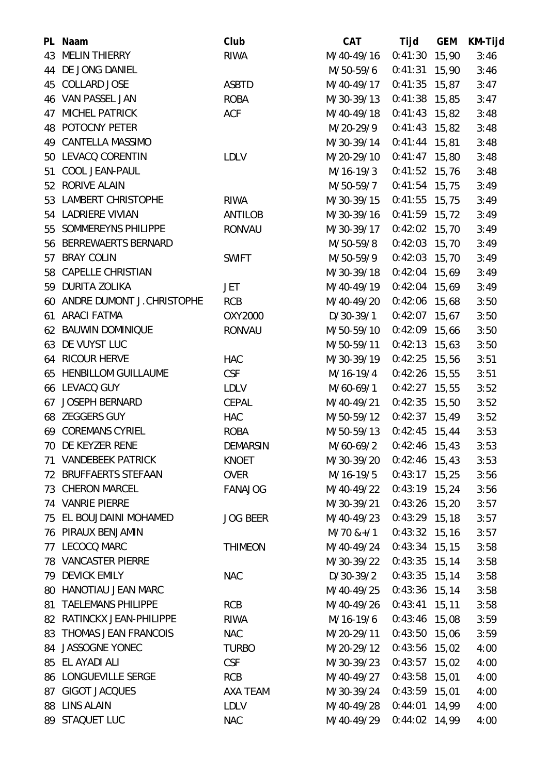|    | PL Naam                      | Club            | <b>CAT</b>              | Tijd            | <b>GEM</b> | KM-Tijd |
|----|------------------------------|-----------------|-------------------------|-----------------|------------|---------|
| 43 | <b>MELIN THIERRY</b>         | <b>RIWA</b>     | M/40-49/16              | 0:41:30         | 15,90      | 3:46    |
|    | 44 DE JONG DANIEL            |                 | M/50-59/6               | 0:41:31         | 15,90      | 3:46    |
|    | 45 COLLARD JOSE              | <b>ASBTD</b>    | M/40-49/17              | $0:41:35$ 15,87 |            | 3:47    |
|    | 46 VAN PASSEL JAN            | <b>ROBA</b>     | M/30-39/13              | $0:41:38$ 15,85 |            | 3:47    |
| 47 | <b>MICHEL PATRICK</b>        | <b>ACF</b>      | M/40-49/18              | $0:41:43$ 15,82 |            | 3:48    |
|    | 48 POTOCNY PETER             |                 | M/20-29/9               | $0:41:43$ 15,82 |            | 3:48    |
|    | 49 CANTELLA MASSIMO          |                 | M/30-39/14              | $0:41:44$ 15,81 |            | 3:48    |
|    | 50 LEVACQ CORENTIN           | <b>LDLV</b>     | M/20-29/10              | $0:41:47$ 15,80 |            | 3:48    |
|    | 51 COOL JEAN-PAUL            |                 | M/16-19/3               | $0:41:52$ 15,76 |            | 3:48    |
|    | 52 RORIVE ALAIN              |                 | M/50-59/7               | $0:41:54$ 15,75 |            | 3:49    |
|    | 53 LAMBERT CHRISTOPHE        | <b>RIWA</b>     | M/30-39/15              | $0:41:55$ 15,75 |            | 3:49    |
|    | 54 LADRIERE VIVIAN           | <b>ANTILOB</b>  | M/30-39/16              | $0:41:59$ 15,72 |            | 3:49    |
|    | 55 SOMMEREYNS PHILIPPE       | <b>RONVAU</b>   | M/30-39/17              | $0:42:02$ 15,70 |            | 3:49    |
|    | 56 BERREWAERTS BERNARD       |                 | M/50-59/8               | $0:42:03$ 15,70 |            | 3:49    |
|    | 57 BRAY COLIN                | <b>SWIFT</b>    | M/50-59/9               | $0:42:03$ 15,70 |            | 3:49    |
|    | 58 CAPELLE CHRISTIAN         |                 | M/30-39/18              | $0:42:04$ 15,69 |            | 3:49    |
|    | 59 DURITA ZOLIKA             | JET             | M/40-49/19              | $0:42:04$ 15,69 |            | 3:49    |
|    | 60 ANDRE DUMONT J.CHRISTOPHE | <b>RCB</b>      | M/40-49/20              | $0:42:06$ 15,68 |            | 3:50    |
| 61 | <b>ARACI FATMA</b>           | OXY2000         | $D/30-39/1$             | $0:42:07$ 15,67 |            | 3:50    |
|    | 62 BAUWIN DOMINIQUE          | <b>RONVAU</b>   | M/50-59/10              | $0:42:09$ 15,66 |            | 3:50    |
|    | 63 DE VUYST LUC              |                 | M/50-59/11              | $0:42:13$ 15,63 |            | 3:50    |
|    | 64 RICOUR HERVE              | <b>HAC</b>      | M/30-39/19              | $0:42:25$ 15,56 |            | 3:51    |
|    | 65 HENBILLOM GUILLAUME       | <b>CSF</b>      | M/16-19/4               | $0:42:26$ 15,55 |            | 3:51    |
|    | 66 LEVACQ GUY                | <b>LDLV</b>     | M/60-69/1               | $0:42:27$ 15,55 |            | 3:52    |
| 67 | <b>JOSEPH BERNARD</b>        | <b>CEPAL</b>    | M/40-49/21              | $0:42:35$ 15,50 |            | 3:52    |
|    | 68 ZEGGERS GUY               | <b>HAC</b>      | M/50-59/12              | $0:42:37$ 15,49 |            | 3:52    |
|    | 69 COREMANS CYRIEL           | <b>ROBA</b>     | M/50-59/13              | $0:42:45$ 15,44 |            | 3:53    |
|    | 70 DE KEYZER RENE            | DEMARSIN        | M/60-69/2 0:42:46 15,43 |                 |            | 3:53    |
|    | 71 VANDEBEEK PATRICK         | <b>KNOET</b>    | M/30-39/20              | $0:42:46$ 15,43 |            | 3:53    |
|    | 72 BRUFFAERTS STEFAAN        | <b>OVER</b>     | M/16-19/5               | $0:43:17$ 15,25 |            | 3:56    |
|    | 73 CHERON MARCEL             | <b>FANAJOG</b>  | M/40-49/22              | $0:43:19$ 15,24 |            | 3:56    |
|    | <b>74 VANRIE PIERRE</b>      |                 | M/30-39/21              | $0:43:26$ 15,20 |            | 3:57    |
|    | 75 EL BOUJDAINI MOHAMED      | <b>JOG BEER</b> | M/40-49/23              | $0:43:29$ 15,18 |            | 3:57    |
|    | 76 PIRAUX BENJAMIN           |                 | $M/70$ &+/1             | $0:43:32$ 15,16 |            | 3:57    |
|    | 77 LECOCQ MARC               | <b>THIMEON</b>  | M/40-49/24              | $0:43:34$ 15,15 |            | 3:58    |
|    | <b>78 VANCASTER PIERRE</b>   |                 | M/30-39/22              | $0:43:35$ 15,14 |            | 3:58    |
|    | <b>79 DEVICK EMILY</b>       | <b>NAC</b>      | D/30-39/2               | $0:43:35$ 15,14 |            | 3:58    |
|    | 80 HANOTIAU JEAN MARC        |                 | M/40-49/25              | $0:43:36$ 15,14 |            | 3:58    |
| 81 | <b>TAELEMANS PHILIPPE</b>    | <b>RCB</b>      | M/40-49/26              | $0:43:41$ 15,11 |            | 3:58    |
|    | 82 RATINCKX JEAN-PHILIPPE    | <b>RIWA</b>     | M/16-19/6               | $0:43:46$ 15,08 |            | 3:59    |
|    | 83 THOMAS JEAN FRANCOIS      | <b>NAC</b>      | M/20-29/11              | $0:43:50$ 15,06 |            | 3:59    |
|    | 84 JASSOGNE YONEC            | <b>TURBO</b>    | M/20-29/12              | $0:43:56$ 15,02 |            | 4:00    |
|    | 85 EL AYADI ALI              | <b>CSF</b>      | M/30-39/23              | $0:43:57$ 15,02 |            | 4:00    |
|    | 86 LONGUEVILLE SERGE         | <b>RCB</b>      | M/40-49/27              | $0:43:58$ 15,01 |            | 4:00    |
| 87 | GIGOT JACQUES                | AXA TEAM        | M/30-39/24              | $0:43:59$ 15,01 |            | 4:00    |
|    | 88 LINS ALAIN                | <b>LDLV</b>     | M/40-49/28              | $0:44:01$ 14,99 |            | 4:00    |
|    | 89 STAQUET LUC               | <b>NAC</b>      | M/40-49/29              | $0:44:02$ 14,99 |            | 4:00    |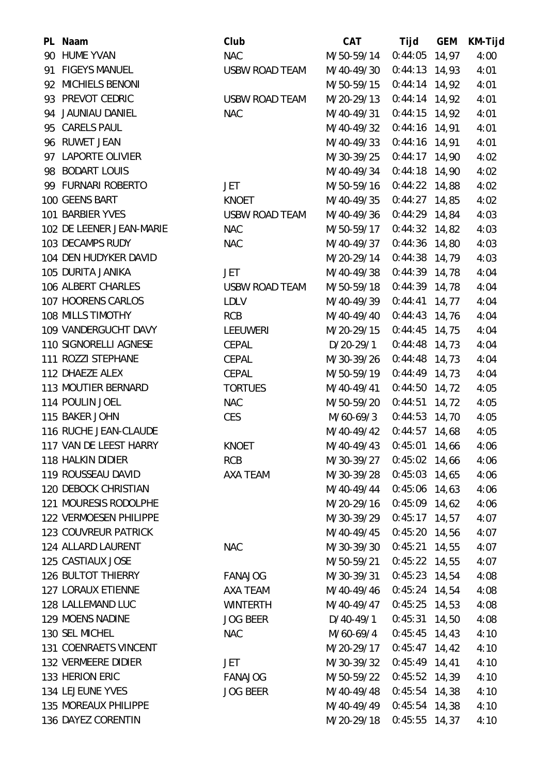| PL Naam                     | Club                  | <b>CAT</b>               | Tijd            | <b>GEM</b> | KM-Tijd |
|-----------------------------|-----------------------|--------------------------|-----------------|------------|---------|
| 90 HUME YVAN                | <b>NAC</b>            | M/50-59/14               | $0:44:05$ 14,97 |            | 4:00    |
| 91 FIGEYS MANUEL            | <b>USBW ROAD TEAM</b> | M/40-49/30               | $0:44:13$ 14,93 |            | 4:01    |
| 92 MICHIELS BENONI          |                       | M/50-59/15               | $0:44:14$ 14,92 |            | 4:01    |
| 93 PREVOT CEDRIC            | <b>USBW ROAD TEAM</b> | M/20-29/13               | $0:44:14$ 14,92 |            | 4:01    |
| 94 JAUNIAU DANIEL           | <b>NAC</b>            | M/40-49/31               | $0:44:15$ 14,92 |            | 4:01    |
| 95 CARELS PAUL              |                       | M/40-49/32               | $0:44:16$ 14,91 |            | 4:01    |
| 96 RUWET JEAN               |                       | M/40-49/33               | $0:44:16$ 14,91 |            | 4:01    |
| 97 LAPORTE OLIVIER          |                       | M/30-39/25               | $0:44:17$ 14,90 |            | 4:02    |
| 98 BODART LOUIS             |                       | M/40-49/34               | $0:44:18$ 14,90 |            | 4:02    |
| 99 FURNARI ROBERTO          | <b>JET</b>            | M/50-59/16               | $0:44:22$ 14,88 |            | 4:02    |
| 100 GEENS BART              | <b>KNOET</b>          | M/40-49/35               | $0:44:27$ 14,85 |            | 4:02    |
| 101 BARBIER YVES            | <b>USBW ROAD TEAM</b> | M/40-49/36               | $0:44:29$ 14,84 |            | 4:03    |
| 102 DE LEENER JEAN-MARIE    | <b>NAC</b>            | M/50-59/17               | $0:44:32$ 14,82 |            | 4:03    |
| 103 DECAMPS RUDY            | <b>NAC</b>            | M/40-49/37               | $0:44:36$ 14,80 |            | 4:03    |
| 104 DEN HUDYKER DAVID       |                       | M/20-29/14               | $0:44:38$ 14,79 |            | 4:03    |
| 105 DURITA JANIKA           | <b>JET</b>            | M/40-49/38               | $0:44:39$ 14,78 |            | 4:04    |
| 106 ALBERT CHARLES          | <b>USBW ROAD TEAM</b> | M/50-59/18               | $0:44:39$ 14,78 |            | 4:04    |
| 107 HOORENS CARLOS          | <b>LDLV</b>           | M/40-49/39               | $0:44:41$ 14,77 |            | 4:04    |
| 108 MILLS TIMOTHY           | <b>RCB</b>            | M/40-49/40               | $0:44:43$ 14,76 |            | 4:04    |
| 109 VANDERGUCHT DAVY        | LEEUWERI              | M/20-29/15               | $0:44:45$ 14,75 |            | 4:04    |
| 110 SIGNORELLI AGNESE       | <b>CEPAL</b>          | $D/20-29/1$              | $0:44:48$ 14,73 |            | 4:04    |
| 111 ROZZI STEPHANE          | CEPAL                 | M/30-39/26               | $0:44:48$ 14,73 |            | 4:04    |
| 112 DHAEZE ALEX             | CEPAL                 | M/50-59/19               | $0:44:49$ 14,73 |            | 4:04    |
| 113 MOUTIER BERNARD         | <b>TORTUES</b>        | M/40-49/41               | $0:44:50$ 14,72 |            | 4:05    |
| 114 POULIN JOEL             | <b>NAC</b>            | M/50-59/20               | $0:44:51$ 14,72 |            | 4:05    |
| 115 BAKER JOHN              | <b>CES</b>            | M/60-69/3                | $0:44:53$ 14,70 |            | 4:05    |
| 116 RUCHE JEAN-CLAUDE       |                       | M/40-49/42               | $0:44:57$ 14,68 |            | 4:05    |
| 117 VAN DE LEEST HARRY      | <b>KNOET</b>          | M/40-49/43 0:45:01 14,66 |                 |            | 4:06    |
| 118 HALKIN DIDIER           | <b>RCB</b>            | M/30-39/27               | $0:45:02$ 14,66 |            | 4:06    |
| 119 ROUSSEAU DAVID          | AXA TEAM              | M/30-39/28               | $0:45:03$ 14,65 |            | 4:06    |
| 120 DEBOCK CHRISTIAN        |                       | M/40-49/44               | $0:45:06$ 14,63 |            | 4:06    |
| 121 MOURESIS RODOLPHE       |                       | M/20-29/16               | $0:45:09$ 14,62 |            | 4:06    |
| 122 VERMOESEN PHILIPPE      |                       | M/30-39/29               | $0:45:17$ 14,57 |            | 4:07    |
| <b>123 COUVREUR PATRICK</b> |                       | M/40-49/45               | $0:45:20$ 14,56 |            | 4:07    |
| 124 ALLARD LAURENT          | <b>NAC</b>            | M/30-39/30               | $0:45:21$ 14,55 |            | 4:07    |
| 125 CASTIAUX JOSE           |                       | M/50-59/21               | $0:45:22$ 14,55 |            | 4:07    |
| 126 BULTOT THIERRY          | FANAJOG               | M/30-39/31               | $0:45:23$ 14,54 |            | 4:08    |
| <b>127 LORAUX ETIENNE</b>   | AXA TEAM              | M/40-49/46               | $0:45:24$ 14,54 |            | 4:08    |
| 128 LALLEMAND LUC           | <b>WINTERTH</b>       | M/40-49/47               | $0:45:25$ 14,53 |            | 4:08    |
| 129 MOENS NADINE            | <b>JOG BEER</b>       | D/40-49/1                | $0:45:31$ 14,50 |            | 4:08    |
| 130 SEL MICHEL              | <b>NAC</b>            | M/60-69/4                | $0:45:45$ 14,43 |            | 4:10    |
| 131 COENRAETS VINCENT       |                       | M/20-29/17               | $0:45:47$ 14,42 |            | 4:10    |
| 132 VERMEERE DIDIER         | JET                   | M/30-39/32               | $0:45:49$ 14,41 |            | 4:10    |
| 133 HERION ERIC             | FANAJOG               | M/50-59/22               | $0:45:52$ 14,39 |            | 4:10    |
| 134 LEJEUNE YVES            | <b>JOG BEER</b>       | M/40-49/48               | $0:45:54$ 14,38 |            | 4:10    |
| 135 MOREAUX PHILIPPE        |                       | M/40-49/49               | $0:45:54$ 14,38 |            | 4:10    |
| 136 DAYEZ CORENTIN          |                       | M/20-29/18               | $0:45:55$ 14,37 |            | 4:10    |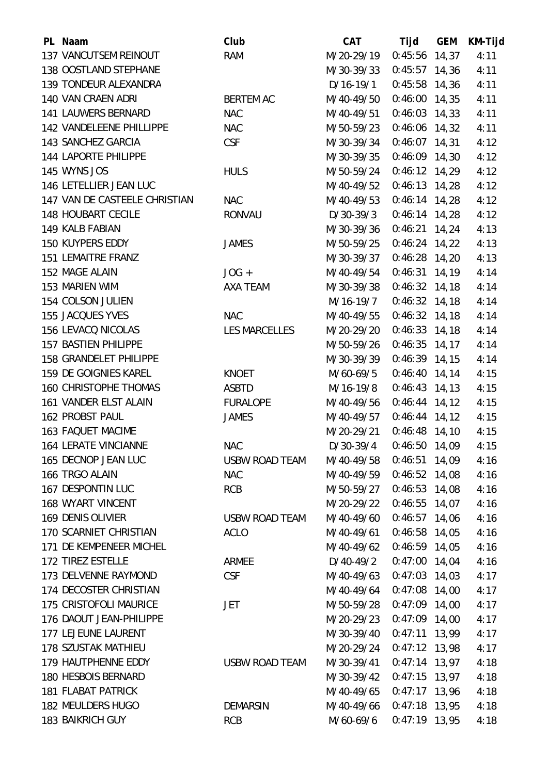| PL Naam                       | Club                  | <b>CAT</b>                | Tijd            | <b>GEM</b> | KM-Tijd |
|-------------------------------|-----------------------|---------------------------|-----------------|------------|---------|
| 137 VANCUTSEM REINOUT         | <b>RAM</b>            | M/20-29/19                | $0:45:56$ 14,37 |            | 4:11    |
| 138 OOSTLAND STEPHANE         |                       | M/30-39/33                | $0:45:57$ 14,36 |            | 4:11    |
| 139 TONDEUR ALEXANDRA         |                       | D/16-19/1                 | $0:45:58$ 14,36 |            | 4:11    |
| 140 VAN CRAEN ADRI            | <b>BERTEM AC</b>      | M/40-49/50                | $0:46:00$ 14,35 |            | 4:11    |
| <b>141 LAUWERS BERNARD</b>    | <b>NAC</b>            | M/40-49/51                | $0:46:03$ 14,33 |            | 4:11    |
| 142 VANDELEENE PHILLIPPE      | <b>NAC</b>            | M/50-59/23                | $0:46:06$ 14,32 |            | 4:11    |
| 143 SANCHEZ GARCIA            | <b>CSF</b>            | M/30-39/34                | $0:46:07$ 14,31 |            | 4:12    |
| 144 LAPORTE PHILIPPE          |                       | M/30-39/35                | $0:46:09$ 14,30 |            | 4:12    |
| 145 WYNS JOS                  | <b>HULS</b>           | M/50-59/24                | $0:46:12$ 14,29 |            | 4:12    |
| 146 LETELLIER JEAN LUC        |                       | M/40-49/52                | $0:46:13$ 14,28 |            | 4:12    |
| 147 VAN DE CASTEELE CHRISTIAN | <b>NAC</b>            | M/40-49/53                | $0:46:14$ 14,28 |            | 4:12    |
| <b>148 HOUBART CECILE</b>     | <b>RONVAU</b>         | $D/30-39/3$               | $0:46:14$ 14,28 |            | 4:12    |
| 149 KALB FABIAN               |                       | M/30-39/36                | $0:46:21$ 14,24 |            | 4:13    |
| 150 KUYPERS EDDY              | <b>JAMES</b>          | M/50-59/25                | $0:46:24$ 14,22 |            | 4:13    |
| 151 LEMAITRE FRANZ            |                       | M/30-39/37                | $0:46:28$ 14,20 |            | 4:13    |
| 152 MAGE ALAIN                | $JOG +$               | M/40-49/54                | $0:46:31$ 14,19 |            | 4:14    |
| 153 MARIEN WIM                | AXA TEAM              | M/30-39/38                | $0:46:32$ 14,18 |            | 4:14    |
| 154 COLSON JULIEN             |                       | M/16-19/7                 | $0:46:32$ 14,18 |            | 4:14    |
| 155 JACQUES YVES              | <b>NAC</b>            | M/40-49/55                | $0:46:32$ 14,18 |            | 4:14    |
| 156 LEVACQ NICOLAS            | <b>LES MARCELLES</b>  | M/20-29/20                | $0:46:33$ 14,18 |            | 4:14    |
| 157 BASTIEN PHILIPPE          |                       | M/50-59/26                | $0:46:35$ 14,17 |            | 4:14    |
| 158 GRANDELET PHILIPPE        |                       | M/30-39/39                | $0:46:39$ 14,15 |            | 4:14    |
| 159 DE GOIGNIES KAREL         | <b>KNOET</b>          | M/60-69/5                 | $0:46:40$ 14,14 |            | 4:15    |
| <b>160 CHRISTOPHE THOMAS</b>  | <b>ASBTD</b>          | M/16-19/8                 | $0:46:43$ 14,13 |            | 4:15    |
| 161 VANDER ELST ALAIN         | <b>FURALOPE</b>       | M/40-49/56                | $0:46:44$ 14,12 |            | 4:15    |
| 162 PROBST PAUL               | <b>JAMES</b>          | M/40-49/57                | $0:46:44$ 14,12 |            | 4:15    |
| 163 FAQUET MACIME             |                       | M/20-29/21                | $0:46:48$ 14,10 |            | 4:15    |
| 164 LERATE VINCIANNE          | <b>NAC</b>            | $D/30-39/4$ 0:46:50 14,09 |                 |            | 4:15    |
| 165 DECNOP JEAN LUC           | USBW ROAD TEAM        | M/40-49/58                | $0:46:51$ 14,09 |            | 4:16    |
| 166 TRGO ALAIN                | <b>NAC</b>            | M/40-49/59                | $0:46:52$ 14,08 |            | 4:16    |
| 167 DESPONTIN LUC             | <b>RCB</b>            | M/50-59/27                | $0:46:53$ 14,08 |            | 4:16    |
| <b>168 WYART VINCENT</b>      |                       | M/20-29/22                | $0:46:55$ 14,07 |            | 4:16    |
| 169 DENIS OLIVIER             | <b>USBW ROAD TEAM</b> | M/40-49/60                | $0:46:57$ 14,06 |            | 4:16    |
| 170 SCARNIET CHRISTIAN        | <b>ACLO</b>           | M/40-49/61                | $0:46:58$ 14,05 |            | 4:16    |
| 171 DE KEMPENEER MICHEL       |                       | M/40-49/62                | $0:46:59$ 14,05 |            | 4:16    |
| 172 TIREZ ESTELLE             | ARMEE                 | $D/40-49/2$               | $0:47:00$ 14,04 |            | 4:16    |
| 173 DELVENNE RAYMOND          | <b>CSF</b>            | M/40-49/63                | $0:47:03$ 14,03 |            | 4:17    |
| 174 DECOSTER CHRISTIAN        |                       | M/40-49/64                | $0:47:08$ 14,00 |            | 4:17    |
| 175 CRISTOFOLI MAURICE        | <b>JET</b>            | M/50-59/28                | $0:47:09$ 14,00 |            | 4:17    |
| 176 DAOUT JEAN-PHILIPPE       |                       | M/20-29/23                | $0:47:09$ 14,00 |            | 4:17    |
| 177 LEJEUNE LAURENT           |                       | M/30-39/40                | $0:47:11$ 13,99 |            | 4:17    |
| 178 SZUSTAK MATHIEU           |                       | M/20-29/24                | $0:47:12$ 13,98 |            | 4:17    |
| 179 HAUTPHENNE EDDY           | USBW ROAD TEAM        | M/30-39/41                | $0:47:14$ 13,97 |            | 4:18    |
| 180 HESBOIS BERNARD           |                       | M/30-39/42                | $0:47:15$ 13,97 |            | 4:18    |
| <b>181 FLABAT PATRICK</b>     |                       | M/40-49/65                | $0:47:17$ 13,96 |            | 4:18    |
| 182 MEULDERS HUGO             | <b>DEMARSIN</b>       | M/40-49/66                | $0:47:18$ 13,95 |            | 4:18    |
| <b>183 BAIKRICH GUY</b>       | <b>RCB</b>            | M/60-69/6                 | $0:47:19$ 13,95 |            | 4:18    |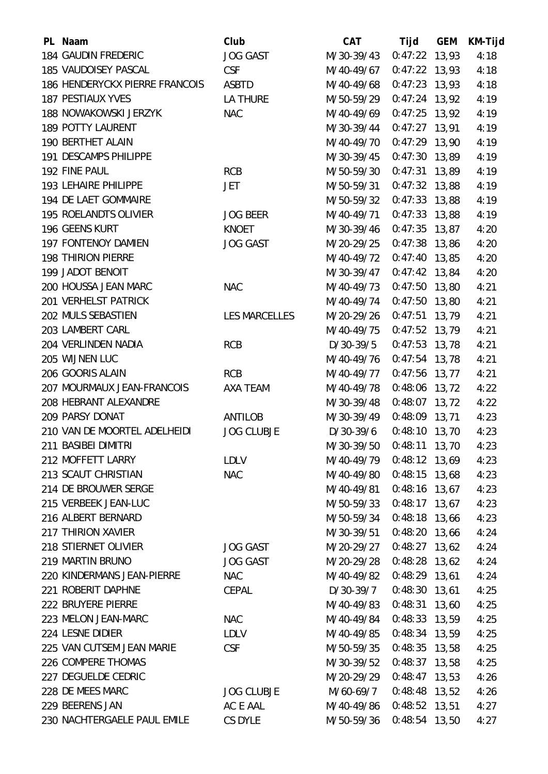| PL Naam                        | Club                 | <b>CAT</b>               | Tijd            | <b>GEM</b> | KM-Tijd |
|--------------------------------|----------------------|--------------------------|-----------------|------------|---------|
| 184 GAUDIN FREDERIC            | <b>JOG GAST</b>      | M/30-39/43               | $0:47:22$ 13,93 |            | 4:18    |
| 185 VAUDOISEY PASCAL           | <b>CSF</b>           | M/40-49/67               | $0:47:22$ 13,93 |            | 4:18    |
| 186 HENDERYCKX PIERRE FRANCOIS | <b>ASBTD</b>         | M/40-49/68               | $0:47:23$ 13,93 |            | 4:18    |
| 187 PESTIAUX YVES              | LA THURE             | M/50-59/29               | $0:47:24$ 13,92 |            | 4:19    |
| 188 NOWAKOWSKI JERZYK          | <b>NAC</b>           | M/40-49/69               | $0:47:25$ 13,92 |            | 4:19    |
| 189 POTTY LAURENT              |                      | M/30-39/44               | $0:47:27$ 13,91 |            | 4:19    |
| 190 BERTHET ALAIN              |                      | M/40-49/70               | $0:47:29$ 13,90 |            | 4:19    |
| 191 DESCAMPS PHILIPPE          |                      | M/30-39/45               | $0:47:30$ 13,89 |            | 4:19    |
| 192 FINE PAUL                  | <b>RCB</b>           | M/50-59/30               | $0:47:31$ 13,89 |            | 4:19    |
| 193 LEHAIRE PHILIPPE           | <b>JET</b>           | M/50-59/31               | $0:47:32$ 13,88 |            | 4:19    |
| 194 DE LAET GOMMAIRE           |                      | M/50-59/32               | $0:47:33$ 13,88 |            | 4:19    |
| 195 ROELANDTS OLIVIER          | <b>JOG BEER</b>      | M/40-49/71               | $0:47:33$ 13,88 |            | 4:19    |
| 196 GEENS KURT                 | <b>KNOET</b>         | M/30-39/46               | $0:47:35$ 13,87 |            | 4:20    |
| 197 FONTENOY DAMIEN            | <b>JOG GAST</b>      | M/20-29/25               | $0:47:38$ 13,86 |            | 4:20    |
| <b>198 THIRION PIERRE</b>      |                      | M/40-49/72               | $0:47:40$ 13,85 |            | 4:20    |
| 199 JADOT BENOIT               |                      | M/30-39/47               | $0:47:42$ 13,84 |            | 4:20    |
| 200 HOUSSA JEAN MARC           | <b>NAC</b>           | M/40-49/73               | $0:47:50$ 13,80 |            | 4:21    |
| 201 VERHELST PATRICK           |                      | M/40-49/74               | $0:47:50$ 13,80 |            | 4:21    |
| 202 MULS SEBASTIEN             | <b>LES MARCELLES</b> | M/20-29/26               | $0:47:51$ 13,79 |            | 4:21    |
| 203 LAMBERT CARL               |                      | M/40-49/75               | $0:47:52$ 13,79 |            | 4:21    |
| 204 VERLINDEN NADIA            | <b>RCB</b>           | D/30-39/5                | $0:47:53$ 13,78 |            | 4:21    |
| 205 WIJNEN LUC                 |                      | M/40-49/76               | $0:47:54$ 13,78 |            | 4:21    |
| 206 GOORIS ALAIN               | <b>RCB</b>           | M/40-49/77               | $0:47:56$ 13,77 |            | 4:21    |
| 207 MOURMAUX JEAN-FRANCOIS     | AXA TEAM             | M/40-49/78               | $0:48:06$ 13,72 |            | 4:22    |
| 208 HEBRANT ALEXANDRE          |                      | M/30-39/48               | $0:48:07$ 13,72 |            | 4:22    |
| 209 PARSY DONAT                | ANTILOB              | M/30-39/49               | $0:48:09$ 13,71 |            | 4:23    |
| 210 VAN DE MOORTEL ADELHEIDI   | <b>JOG CLUBJE</b>    | $D/30-39/6$              | $0:48:10$ 13,70 |            | 4:23    |
| 211 BASIBEI DIMITRI            |                      | M/30-39/50 0:48:11 13,70 |                 |            | 4:23    |
| 212 MOFFETT LARRY              | LDLV                 | M/40-49/79               | $0:48:12$ 13,69 |            | 4:23    |
| 213 SCAUT CHRISTIAN            | <b>NAC</b>           | M/40-49/80               | $0:48:15$ 13,68 |            | 4:23    |
| 214 DE BROUWER SERGE           |                      | M/40-49/81               | 0:48:16 13,67   |            | 4:23    |
| 215 VERBEEK JEAN-LUC           |                      | M/50-59/33               | $0:48:17$ 13,67 |            | 4:23    |
| 216 ALBERT BERNARD             |                      | M/50-59/34               | $0:48:18$ 13,66 |            | 4:23    |
| 217 THIRION XAVIER             |                      | M/30-39/51               | $0:48:20$ 13,66 |            | 4:24    |
| 218 STIERNET OLIVIER           | <b>JOG GAST</b>      | M/20-29/27               | $0:48:27$ 13,62 |            | 4:24    |
| 219 MARTIN BRUNO               | <b>JOG GAST</b>      | M/20-29/28               | $0:48:28$ 13,62 |            | 4:24    |
| 220 KINDERMANS JEAN-PIERRE     | <b>NAC</b>           | M/40-49/82               | $0:48:29$ 13,61 |            | 4:24    |
| 221 ROBERIT DAPHNE             | <b>CEPAL</b>         | D/30-39/7                | $0:48:30$ 13,61 |            | 4:25    |
| 222 BRUYERE PIERRE             |                      | M/40-49/83               | $0:48:31$ 13,60 |            | 4:25    |
| 223 MELON JEAN-MARC            | NAC                  | M/40-49/84               | $0:48:33$ 13,59 |            | 4:25    |
| 224 LESNE DIDIER               | <b>LDLV</b>          | M/40-49/85               | 0:48:34 13,59   |            | 4:25    |
| 225 VAN CUTSEM JEAN MARIE      | <b>CSF</b>           | M/50-59/35               | $0:48:35$ 13,58 |            | 4:25    |
| 226 COMPERE THOMAS             |                      | M/30-39/52               | $0:48:37$ 13,58 |            | 4:25    |
| 227 DEGUELDE CEDRIC            |                      | M/20-29/29               | $0:48:47$ 13,53 |            | 4:26    |
| 228 DE MEES MARC               | <b>JOG CLUBJE</b>    | M/60-69/7                | $0:48:48$ 13,52 |            | 4:26    |
| 229 BEERENS JAN                | AC E AAL             | M/40-49/86               | $0:48:52$ 13,51 |            | 4:27    |
| 230 NACHTERGAELE PAUL EMILE    | CS DYLE              | M/50-59/36               | $0:48:54$ 13,50 |            | 4:27    |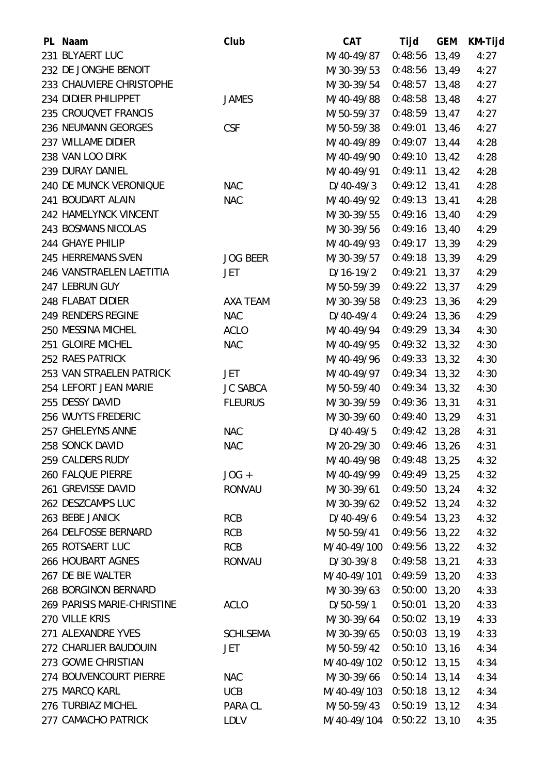| PL Naam                     | Club            | <b>CAT</b>                | Tijd            | GEM | KM-Tijd |
|-----------------------------|-----------------|---------------------------|-----------------|-----|---------|
| 231 BLYAERT LUC             |                 | M/40-49/87                | $0:48:56$ 13,49 |     | 4:27    |
| 232 DE JONGHE BENOIT        |                 | M/30-39/53                | $0:48:56$ 13,49 |     | 4:27    |
| 233 CHAUVIERE CHRISTOPHE    |                 | M/30-39/54                | $0:48:57$ 13,48 |     | 4:27    |
| 234 DIDIER PHILIPPET        | <b>JAMES</b>    | M/40-49/88                | $0:48:58$ 13,48 |     | 4:27    |
| 235 CROUQVET FRANCIS        |                 | M/50-59/37                | $0:48:59$ 13,47 |     | 4:27    |
| 236 NEUMANN GEORGES         | <b>CSF</b>      | M/50-59/38                | $0:49:01$ 13,46 |     | 4:27    |
| 237 WILLAME DIDIER          |                 | M/40-49/89                | $0:49:07$ 13,44 |     | 4:28    |
| 238 VAN LOO DIRK            |                 | M/40-49/90                | $0:49:10$ 13,42 |     | 4:28    |
| 239 DURAY DANIEL            |                 | M/40-49/91                | $0:49:11$ 13,42 |     | 4:28    |
| 240 DE MUNCK VERONIQUE      | <b>NAC</b>      | D/40-49/3                 | $0:49:12$ 13,41 |     | 4:28    |
| 241 BOUDART ALAIN           | <b>NAC</b>      | M/40-49/92                | $0:49:13$ 13,41 |     | 4:28    |
| 242 HAMELYNCK VINCENT       |                 | M/30-39/55                | $0:49:16$ 13,40 |     | 4:29    |
| 243 BOSMANS NICOLAS         |                 | M/30-39/56                | $0:49:16$ 13,40 |     | 4:29    |
| 244 GHAYE PHILIP            |                 | M/40-49/93                | $0:49:17$ 13,39 |     | 4:29    |
| 245 HERREMANS SVEN          | <b>JOG BEER</b> | M/30-39/57                | $0:49:18$ 13,39 |     | 4:29    |
| 246 VANSTRAELEN LAETITIA    | <b>JET</b>      | $D/16-19/2$               | $0:49:21$ 13,37 |     | 4:29    |
| 247 LEBRUN GUY              |                 | M/50-59/39                | $0:49:22$ 13,37 |     | 4:29    |
| 248 FLABAT DIDIER           | <b>AXA TEAM</b> | M/30-39/58                | $0:49:23$ 13,36 |     | 4:29    |
| 249 RENDERS REGINE          | <b>NAC</b>      | D/40-49/4                 | $0:49:24$ 13,36 |     | 4:29    |
| 250 MESSINA MICHEL          | <b>ACLO</b>     | M/40-49/94                | $0:49:29$ 13,34 |     | 4:30    |
| 251 GLOIRE MICHEL           | <b>NAC</b>      | M/40-49/95                | $0:49:32$ 13,32 |     | 4:30    |
| 252 RAES PATRICK            |                 | M/40-49/96                | $0:49:33$ 13,32 |     | 4:30    |
| 253 VAN STRAELEN PATRICK    | <b>JET</b>      | M/40-49/97                | $0:49:34$ 13,32 |     | 4:30    |
| 254 LEFORT JEAN MARIE       | <b>JC SABCA</b> | M/50-59/40                | $0:49:34$ 13,32 |     | 4:30    |
| 255 DESSY DAVID             | <b>FLEURUS</b>  | M/30-39/59                | $0:49:36$ 13,31 |     | 4:31    |
| 256 WUYTS FREDERIC          |                 | M/30-39/60                | 0:49:40 13,29   |     | 4:31    |
| 257 GHELEYNS ANNE           | <b>NAC</b>      | $D/40-49/5$               | $0:49:42$ 13,28 |     | 4:31    |
| 258 SONCK DAVID             | <b>NAC</b>      | M/20-29/30 0:49:46 13,26  |                 |     | 4:31    |
| 259 CALDERS RUDY            |                 | M/40-49/98                | $0:49:48$ 13,25 |     | 4:32    |
| 260 FALQUE PIERRE           | $JOG +$         | M/40-49/99                | $0:49:49$ 13,25 |     | 4:32    |
| 261 GREVISSE DAVID          | <b>RONVAU</b>   | M/30-39/61                | $0:49:50$ 13,24 |     | 4:32    |
| 262 DESZCAMPS LUC           |                 | M/30-39/62                | $0:49:52$ 13,24 |     | 4:32    |
| 263 BEBE JANICK             | <b>RCB</b>      | D/40-49/6                 | $0:49:54$ 13,23 |     | 4:32    |
| 264 DELFOSSE BERNARD        | <b>RCB</b>      | M/50-59/41                | $0:49:56$ 13,22 |     | 4:32    |
| 265 ROTSAERT LUC            | <b>RCB</b>      | M/40-49/100               | $0:49:56$ 13,22 |     | 4:32    |
| 266 HOUBART AGNES           | <b>RONVAU</b>   | $D/30-39/8$               | $0:49:58$ 13,21 |     | 4:33    |
| 267 DE BIE WALTER           |                 | M/40-49/101               | $0:49:59$ 13,20 |     | 4:33    |
| <b>268 BORGINON BERNARD</b> |                 | M/30-39/63                | $0:50:00$ 13,20 |     | 4:33    |
| 269 PARISIS MARIE-CHRISTINE | <b>ACLO</b>     | D/50-59/1                 | $0:50:01$ 13,20 |     | 4:33    |
| 270 VILLE KRIS              |                 | M/30-39/64                | $0:50:02$ 13,19 |     | 4:33    |
| 271 ALEXANDRE YVES          | <b>SCHLSEMA</b> | M/30-39/65                | $0:50:03$ 13,19 |     | 4:33    |
| 272 CHARLIER BAUDOUIN       | JET             | M/50-59/42                | $0:50:10$ 13,16 |     | 4:34    |
| 273 GOWIE CHRISTIAN         |                 | M/40-49/102 0:50:12 13,15 |                 |     | 4:34    |
| 274 BOUVENCOURT PIERRE      | <b>NAC</b>      | M/30-39/66                | $0:50:14$ 13,14 |     | 4:34    |
| 275 MARCQ KARL              | <b>UCB</b>      | M/40-49/103 0:50:18 13,12 |                 |     | 4:34    |
| 276 TURBIAZ MICHEL          | PARA CL         | M/50-59/43                | $0:50:19$ 13,12 |     | 4:34    |
| 277 CAMACHO PATRICK         | LDLV            | M/40-49/104 0:50:22 13,10 |                 |     | 4:35    |
|                             |                 |                           |                 |     |         |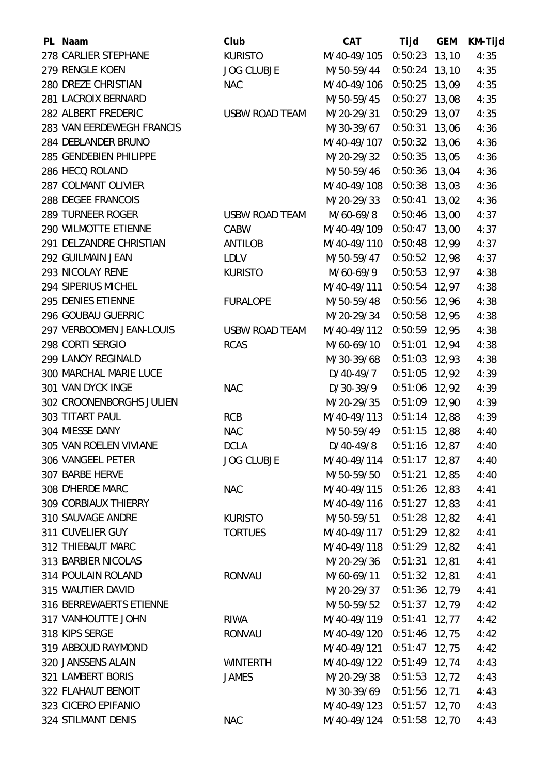| PL Naam                   | Club                  | <b>CAT</b>                | Tijd            | <b>GEM</b> | KM-Tijd |
|---------------------------|-----------------------|---------------------------|-----------------|------------|---------|
| 278 CARLIER STEPHANE      | <b>KURISTO</b>        | M/40-49/105 0:50:23 13,10 |                 |            | 4:35    |
| 279 RENGLE KOEN           | <b>JOG CLUBJE</b>     | M/50-59/44                | $0:50:24$ 13,10 |            | 4:35    |
| 280 DREZE CHRISTIAN       | <b>NAC</b>            | M/40-49/106 0:50:25 13,09 |                 |            | 4:35    |
| 281 LACROIX BERNARD       |                       | M/50-59/45                | $0:50:27$ 13,08 |            | 4:35    |
| 282 ALBERT FREDERIC       | <b>USBW ROAD TEAM</b> | M/20-29/31                | $0:50:29$ 13,07 |            | 4:35    |
| 283 VAN EERDEWEGH FRANCIS |                       | M/30-39/67                | $0:50:31$ 13,06 |            | 4:36    |
| 284 DEBLANDER BRUNO       |                       | M/40-49/107               | $0:50:32$ 13,06 |            | 4:36    |
| 285 GENDEBIEN PHILIPPE    |                       | M/20-29/32                | $0:50:35$ 13,05 |            | 4:36    |
| 286 HECQ ROLAND           |                       | M/50-59/46                | 0:50:36 13,04   |            | 4:36    |
| 287 COLMANT OLIVIER       |                       | M/40-49/108               | $0:50:38$ 13,03 |            | 4:36    |
| 288 DEGEE FRANCOIS        |                       | M/20-29/33                | $0:50:41$ 13,02 |            | 4:36    |
| 289 TURNEER ROGER         | <b>USBW ROAD TEAM</b> | M/60-69/8                 | $0:50:46$ 13,00 |            | 4:37    |
| 290 WILMOTTE ETIENNE      | CABW                  | M/40-49/109               | $0:50:47$ 13,00 |            | 4:37    |
| 291 DELZANDRE CHRISTIAN   | ANTILOB               | M/40-49/110 0:50:48 12,99 |                 |            | 4:37    |
| 292 GUILMAIN JEAN         | <b>LDLV</b>           | M/50-59/47                | $0:50:52$ 12,98 |            | 4:37    |
| 293 NICOLAY RENE          | <b>KURISTO</b>        | M/60-69/9                 | $0:50:53$ 12,97 |            | 4:38    |
| 294 SIPERIUS MICHEL       |                       | M/40-49/111 0:50:54 12,97 |                 |            | 4:38    |
| 295 DENIES ETIENNE        | <b>FURALOPE</b>       | M/50-59/48                | 0:50:56 12,96   |            | 4:38    |
| 296 GOUBAU GUERRIC        |                       | M/20-29/34                | 0:50:58 12,95   |            | 4:38    |
| 297 VERBOOMEN JEAN-LOUIS  | <b>USBW ROAD TEAM</b> | M/40-49/112               | $0:50:59$ 12,95 |            | 4:38    |
| 298 CORTI SERGIO          | <b>RCAS</b>           | M/60-69/10                | $0:51:01$ 12,94 |            | 4:38    |
| 299 LANOY REGINALD        |                       | M/30-39/68                | $0:51:03$ 12,93 |            | 4:38    |
| 300 MARCHAL MARIE LUCE    |                       | D/40-49/7                 | $0:51:05$ 12,92 |            | 4:39    |
| 301 VAN DYCK INGE         | <b>NAC</b>            | D/30-39/9                 | $0:51:06$ 12,92 |            | 4:39    |
| 302 CROONENBORGHS JULIEN  |                       | M/20-29/35                | $0:51:09$ 12,90 |            | 4:39    |
| 303 TITART PAUL           | <b>RCB</b>            | M/40-49/113               | $0:51:14$ 12,88 |            | 4:39    |
| 304 MIESSE DANY           | <b>NAC</b>            | M/50-59/49                | $0:51:15$ 12,88 |            | 4:40    |
| 305 VAN ROELEN VIVIANE    | <b>DCLA</b>           | D/40-49/8 0:51:16 12,87   |                 |            | 4:40    |
| 306 VANGEEL PETER         | <b>JOG CLUBJE</b>     | M/40-49/114 0:51:17 12,87 |                 |            | 4:40    |
| 307 BARBE HERVE           |                       | M/50-59/50 0:51:21 12,85  |                 |            | 4:40    |
| 308 D'HERDE MARC          | <b>NAC</b>            | M/40-49/115 0:51:26 12,83 |                 |            | 4:41    |
| 309 CORBIAUX THIERRY      |                       | M/40-49/116 0:51:27 12,83 |                 |            | 4:41    |
| 310 SAUVAGE ANDRE         | <b>KURISTO</b>        | M/50-59/51                | $0:51:28$ 12,82 |            | 4:41    |
| 311 CUVELIER GUY          | <b>TORTUES</b>        | M/40-49/117 0:51:29 12,82 |                 |            | 4:41    |
| 312 THIEBAUT MARC         |                       | M/40-49/118 0:51:29 12,82 |                 |            | 4:41    |
| 313 BARBIER NICOLAS       |                       | M/20-29/36                | $0:51:31$ 12,81 |            | 4:41    |
| 314 POULAIN ROLAND        | <b>RONVAU</b>         | M/60-69/11                | 0:51:32 12,81   |            | 4:41    |
| 315 WAUTIER DAVID         |                       | M/20-29/37 0:51:36 12,79  |                 |            | 4:41    |
| 316 BERREWAERTS ETIENNE   |                       | M/50-59/52                | $0:51:37$ 12,79 |            | 4:42    |
| 317 VANHOUTTE JOHN        | RIWA                  | M/40-49/119 0:51:41 12,77 |                 |            | 4:42    |
| 318 KIPS SERGE            | RONVAU                | M/40-49/120 0:51:46 12,75 |                 |            | 4:42    |
| 319 ABBOUD RAYMOND        |                       | M/40-49/121 0:51:47 12,75 |                 |            | 4:42    |
| 320 JANSSENS ALAIN        | <b>WINTERTH</b>       | M/40-49/122 0:51:49 12,74 |                 |            | 4:43    |
| 321 LAMBERT BORIS         | <b>JAMES</b>          | M/20-29/38                | $0:51:53$ 12,72 |            | 4:43    |
| 322 FLAHAUT BENOIT        |                       | M/30-39/69                | 0:51:56 12,71   |            | 4:43    |
| 323 CICERO EPIFANIO       |                       | M/40-49/123 0:51:57 12,70 |                 |            | 4:43    |
| 324 STILMANT DENIS        | <b>NAC</b>            | M/40-49/124 0:51:58 12,70 |                 |            | 4:43    |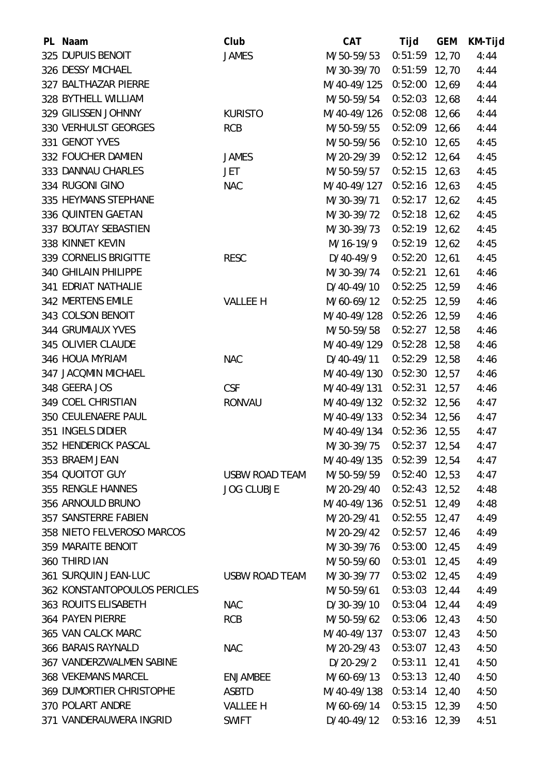| PL Naam                      | Club                  | <b>CAT</b>                | Tijd            | <b>GEM</b> | KM-Tijd |
|------------------------------|-----------------------|---------------------------|-----------------|------------|---------|
| 325 DUPUIS BENOIT            | <b>JAMES</b>          | M/50-59/53                | $0:51:59$ 12,70 |            | 4:44    |
| 326 DESSY MICHAEL            |                       | M/30-39/70                | $0:51:59$ 12,70 |            | 4:44    |
| 327 BALTHAZAR PIERRE         |                       | M/40-49/125               | $0:52:00$ 12,69 |            | 4:44    |
| 328 BYTHELL WILLIAM          |                       | M/50-59/54                | $0:52:03$ 12,68 |            | 4:44    |
| 329 GILISSEN JOHNNY          | <b>KURISTO</b>        | M/40-49/126               | $0:52:08$ 12,66 |            | 4:44    |
| 330 VERHULST GEORGES         | <b>RCB</b>            | M/50-59/55                | $0:52:09$ 12,66 |            | 4:44    |
| 331 GENOT YVES               |                       | M/50-59/56                | $0:52:10$ 12,65 |            | 4:45    |
| 332 FOUCHER DAMIEN           | <b>JAMES</b>          | M/20-29/39                | $0:52:12$ 12,64 |            | 4:45    |
| 333 DANNAU CHARLES           | <b>JET</b>            | M/50-59/57                | $0:52:15$ 12,63 |            | 4:45    |
| 334 RUGONI GINO              | <b>NAC</b>            | M/40-49/127               | $0:52:16$ 12,63 |            | 4:45    |
| 335 HEYMANS STEPHANE         |                       | M/30-39/71                | $0:52:17$ 12,62 |            | 4:45    |
| 336 QUINTEN GAETAN           |                       | M/30-39/72                | $0:52:18$ 12,62 |            | 4:45    |
| 337 BOUTAY SEBASTIEN         |                       | M/30-39/73                | $0:52:19$ 12,62 |            | 4:45    |
| 338 KINNET KEVIN             |                       | M/16-19/9                 | $0:52:19$ 12,62 |            | 4:45    |
| 339 CORNELIS BRIGITTE        | <b>RESC</b>           | D/40-49/9                 | $0:52:20$ 12,61 |            | 4:45    |
| 340 GHILAIN PHILIPPE         |                       | M/30-39/74                | $0:52:21$ 12,61 |            | 4:46    |
| <b>341 EDRIAT NATHALIE</b>   |                       | D/40-49/10                | $0:52:25$ 12,59 |            | 4:46    |
| 342 MERTENS EMILE            | <b>VALLEE H</b>       | M/60-69/12                | $0:52:25$ 12,59 |            | 4:46    |
| 343 COLSON BENOIT            |                       | M/40-49/128               | $0:52:26$ 12,59 |            | 4:46    |
| <b>344 GRUMIAUX YVES</b>     |                       | M/50-59/58                | $0:52:27$ 12,58 |            | 4:46    |
| 345 OLIVIER CLAUDE           |                       | M/40-49/129               | $0:52:28$ 12,58 |            | 4:46    |
| 346 HOUA MYRIAM              | <b>NAC</b>            | D/40-49/11                | $0:52:29$ 12,58 |            | 4:46    |
| 347 JACQMIN MICHAEL          |                       | M/40-49/130 0:52:30 12,57 |                 |            | 4:46    |
| 348 GEERA JOS                | <b>CSF</b>            | M/40-49/131               | $0:52:31$ 12,57 |            | 4:46    |
| 349 COEL CHRISTIAN           | <b>RONVAU</b>         | M/40-49/132 0:52:32 12,56 |                 |            | 4:47    |
| 350 CEULENAERE PAUL          |                       | M/40-49/133 0:52:34 12,56 |                 |            | 4:47    |
| 351 INGELS DIDIER            |                       | M/40-49/134 0:52:36 12,55 |                 |            | 4:47    |
| 352 HENDERICK PASCAL         |                       | M/30-39/75 0:52:37 12,54  |                 |            | 4:47    |
| 353 BRAEM JEAN               |                       | M/40-49/135 0:52:39 12,54 |                 |            | 4:47    |
| 354 QUOITOT GUY              | <b>USBW ROAD TEAM</b> | M/50-59/59                | $0:52:40$ 12,53 |            | 4:47    |
| 355 RENGLE HANNES            | <b>JOG CLUBJE</b>     | M/20-29/40                | $0:52:43$ 12,52 |            | 4:48    |
| 356 ARNOULD BRUNO            |                       | M/40-49/136 0:52:51 12,49 |                 |            | 4:48    |
| 357 SANSTERRE FABIEN         |                       | M/20-29/41                | $0:52:55$ 12,47 |            | 4:49    |
| 358 NIETO FELVEROSO MARCOS   |                       | M/20-29/42                | $0:52:57$ 12,46 |            | 4:49    |
| 359 MARAITE BENOIT           |                       | M/30-39/76                | $0:53:00$ 12,45 |            | 4:49    |
| 360 THIRD IAN                |                       | M/50-59/60                | $0:53:01$ 12,45 |            | 4:49    |
| 361 SURQUIN JEAN-LUC         | <b>USBW ROAD TEAM</b> | M/30-39/77                | $0:53:02$ 12,45 |            | 4:49    |
| 362 KONSTANTOPOULOS PERICLES |                       | M/50-59/61                | $0:53:03$ 12,44 |            | 4:49    |
| 363 ROUITS ELISABETH         | <b>NAC</b>            | D/30-39/10                | $0:53:04$ 12,44 |            | 4:49    |
| <b>364 PAYEN PIERRE</b>      | <b>RCB</b>            | M/50-59/62                | $0:53:06$ 12,43 |            | 4:50    |
| 365 VAN CALCK MARC           |                       | M/40-49/137               | $0:53:07$ 12,43 |            | 4:50    |
| 366 BARAIS RAYNALD           | <b>NAC</b>            | M/20-29/43                | $0:53:07$ 12,43 |            | 4:50    |
| 367 VANDERZWALMEN SABINE     |                       | D/20-29/2                 | $0:53:11$ 12,41 |            | 4:50    |
| 368 VEKEMANS MARCEL          | <b>ENJAMBEE</b>       | M/60-69/13                | $0:53:13$ 12,40 |            | 4:50    |
| 369 DUMORTIER CHRISTOPHE     | <b>ASBTD</b>          | M/40-49/138 0:53:14 12,40 |                 |            | 4:50    |
| 370 POLART ANDRE             | VALLEE H              | M/60-69/14                | $0:53:15$ 12,39 |            | 4:50    |
| 371 VANDERAUWERA INGRID      | <b>SWIFT</b>          | D/40-49/12                | $0:53:16$ 12,39 |            | 4:51    |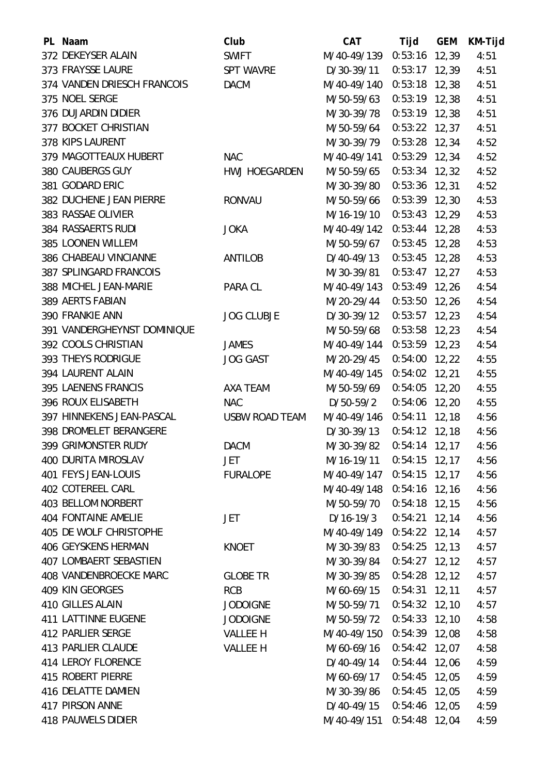| PL Naam                       | Club              | <b>CAT</b>                | Tijd            | <b>GEM</b> | KM-Tijd |
|-------------------------------|-------------------|---------------------------|-----------------|------------|---------|
| 372 DEKEYSER ALAIN            | <b>SWIFT</b>      | M/40-49/139 0:53:16 12,39 |                 |            | 4:51    |
| 373 FRAYSSE LAURE             | <b>SPT WAVRE</b>  | D/30-39/11                | $0:53:17$ 12,39 |            | 4:51    |
| 374 VANDEN DRIESCH FRANCOIS   | <b>DACM</b>       | M/40-49/140 0:53:18 12,38 |                 |            | 4:51    |
| 375 NOEL SERGE                |                   | M/50-59/63                | $0:53:19$ 12,38 |            | 4:51    |
| 376 DUJARDIN DIDIER           |                   | M/30-39/78                | $0:53:19$ 12,38 |            | 4:51    |
| 377 BOCKET CHRISTIAN          |                   | M/50-59/64                | $0:53:22$ 12,37 |            | 4:51    |
| 378 KIPS LAURENT              |                   | M/30-39/79                | $0:53:28$ 12,34 |            | 4:52    |
| 379 MAGOTTEAUX HUBERT         | <b>NAC</b>        | M/40-49/141               | $0:53:29$ 12,34 |            | 4:52    |
| 380 CAUBERGS GUY              | HWJ HOEGARDEN     | M/50-59/65                | $0:53:34$ 12,32 |            | 4:52    |
| 381 GODARD ERIC               |                   | M/30-39/80                | $0:53:36$ 12,31 |            | 4:52    |
| 382 DUCHENE JEAN PIERRE       | <b>RONVAU</b>     | M/50-59/66                | $0:53:39$ 12,30 |            | 4:53    |
| 383 RASSAE OLIVIER            |                   | M/16-19/10                | $0:53:43$ 12,29 |            | 4:53    |
| 384 RASSAERTS RUDI            | <b>JOKA</b>       | M/40-49/142 0:53:44 12,28 |                 |            | 4:53    |
| 385 LOONEN WILLEM             |                   | M/50-59/67                | $0:53:45$ 12,28 |            | 4:53    |
| 386 CHABEAU VINCIANNE         | <b>ANTILOB</b>    | $D/40-49/13$              | $0:53:45$ 12,28 |            | 4:53    |
| 387 SPLINGARD FRANCOIS        |                   | M/30-39/81                | $0:53:47$ 12,27 |            | 4:53    |
| 388 MICHEL JEAN-MARIE         | PARA CL           | M/40-49/143 0:53:49 12,26 |                 |            | 4:54    |
| 389 AERTS FABIAN              |                   | M/20-29/44                | $0:53:50$ 12,26 |            | 4:54    |
| 390 FRANKIE ANN               | <b>JOG CLUBJE</b> | D/30-39/12                | $0:53:57$ 12,23 |            | 4:54    |
| 391 VANDERGHEYNST DOMINIQUE   |                   | M/50-59/68                | $0:53:58$ 12,23 |            | 4:54    |
| 392 COOLS CHRISTIAN           | <b>JAMES</b>      | M/40-49/144 0:53:59 12,23 |                 |            | 4:54    |
| 393 THEYS RODRIGUE            | <b>JOG GAST</b>   | M/20-29/45                | $0:54:00$ 12,22 |            | 4:55    |
| 394 LAURENT ALAIN             |                   | M/40-49/145 0:54:02 12,21 |                 |            | 4:55    |
| 395 LAENENS FRANCIS           | AXA TEAM          | M/50-59/69                | $0:54:05$ 12,20 |            | 4:55    |
| 396 ROUX ELISABETH            | <b>NAC</b>        | D/50-59/2                 | $0:54:06$ 12,20 |            | 4:55    |
| 397 HINNEKENS JEAN-PASCAL     | USBW ROAD TEAM    | M/40-49/146 0:54:11 12,18 |                 |            | 4:56    |
| 398 DROMELET BERANGERE        |                   | $D/30-39/13$              | $0:54:12$ 12,18 |            | 4:56    |
| 399 GRIMONSTER RUDY           | <b>DACM</b>       | M/30-39/82 0:54:14 12,17  |                 |            | 4:56    |
| 400 DURITA MIROSLAV           | JET               | M/16-19/11 0:54:15 12,17  |                 |            | 4:56    |
| 401 FEYS JEAN-LOUIS           | FURALOPE          | M/40-49/147 0:54:15 12,17 |                 |            | 4:56    |
| 402 COTEREEL CARL             |                   | M/40-49/148 0:54:16 12,16 |                 |            | 4:56    |
| 403 BELLOM NORBERT            |                   | M/50-59/70 0:54:18 12,15  |                 |            | 4:56    |
| 404 FONTAINE AMELIE           | JET               | D/16-19/3                 | $0:54:21$ 12,14 |            | 4:56    |
| 405 DE WOLF CHRISTOPHE        |                   | M/40-49/149 0:54:22 12,14 |                 |            | 4:57    |
| 406 GEYSKENS HERMAN           | KNOET             | M/30-39/83                | $0:54:25$ 12,13 |            | 4:57    |
| <b>407 LOMBAERT SEBASTIEN</b> |                   | M/30-39/84                | $0:54:27$ 12,12 |            | 4:57    |
| 408 VANDENBROECKE MARC        | <b>GLOBE TR</b>   | M/30-39/85                | $0:54:28$ 12,12 |            | 4:57    |
| 409 KIN GEORGES               | <b>RCB</b>        | M/60-69/15                | 0:54:31 12,11   |            | 4:57    |
| 410 GILLES ALAIN              | <b>JODOIGNE</b>   | M/50-59/71                | $0:54:32$ 12,10 |            | 4:57    |
| 411 LATTINNE EUGENE           | <b>JODOIGNE</b>   | M/50-59/72                | $0:54:33$ 12,10 |            | 4:58    |
| 412 PARLIER SERGE             | <b>VALLEE H</b>   | M/40-49/150 0:54:39 12,08 |                 |            | 4:58    |
| 413 PARLIER CLAUDE            | VALLEE H          | M/60-69/16                | $0:54:42$ 12,07 |            | 4:58    |
| 414 LEROY FLORENCE            |                   | D/40-49/14                | $0:54:44$ 12,06 |            | 4:59    |
| 415 ROBERT PIERRE             |                   | M/60-69/17                | $0:54:45$ 12,05 |            | 4:59    |
| 416 DELATTE DAMIEN            |                   | M/30-39/86                | $0:54:45$ 12,05 |            | 4:59    |
| 417 PIRSON ANNE               |                   | D/40-49/15                | 0:54:46 12,05   |            | 4:59    |
| <b>418 PAUWELS DIDIER</b>     |                   | M/40-49/151 0:54:48 12,04 |                 |            | 4:59    |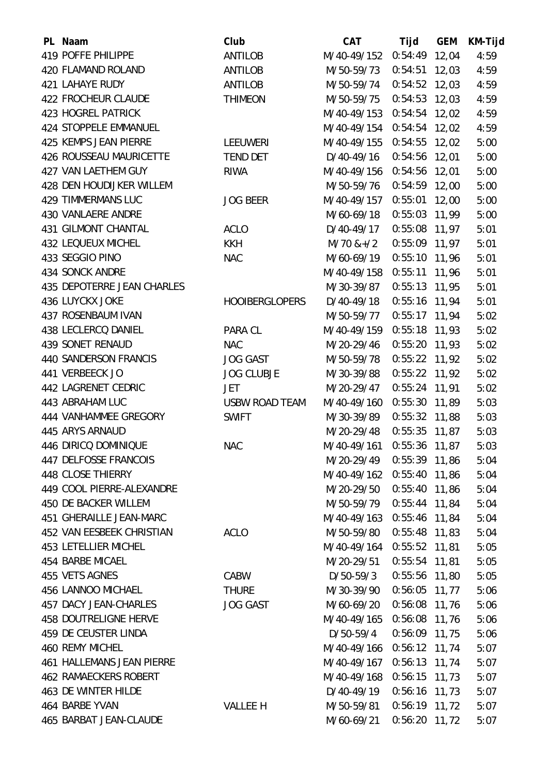| PL Naam                      | Club                  | <b>CAT</b>                 | Tijd            | GEM | <b>KM-Tijd</b> |
|------------------------------|-----------------------|----------------------------|-----------------|-----|----------------|
| 419 POFFE PHILIPPE           | <b>ANTILOB</b>        | M/40-49/152 0:54:49 12,04  |                 |     | 4:59           |
| 420 FLAMAND ROLAND           | <b>ANTILOB</b>        | M/50-59/73                 | $0:54:51$ 12,03 |     | 4:59           |
| 421 LAHAYE RUDY              | <b>ANTILOB</b>        | M/50-59/74                 | $0:54:52$ 12,03 |     | 4:59           |
| 422 FROCHEUR CLAUDE          | <b>THIMEON</b>        | M/50-59/75                 | 0:54:53 12,03   |     | 4:59           |
| 423 HOGREL PATRICK           |                       | M/40-49/153 0:54:54 12,02  |                 |     | 4:59           |
| 424 STOPPELE EMMANUEL        |                       | M/40-49/154 0:54:54 12,02  |                 |     | 4:59           |
| 425 KEMPS JEAN PIERRE        | <b>LEEUWERI</b>       | M/40-49/155 0:54:55 12,02  |                 |     | 5:00           |
| 426 ROUSSEAU MAURICETTE      | <b>TEND DET</b>       | D/40-49/16                 | $0:54:56$ 12,01 |     | 5:00           |
| 427 VAN LAETHEM GUY          | <b>RIWA</b>           | M/40-49/156 0:54:56 12,01  |                 |     | 5:00           |
| 428 DEN HOUDIJKER WILLEM     |                       | M/50-59/76                 | $0:54:59$ 12,00 |     | 5:00           |
| <b>429 TIMMERMANS LUC</b>    | <b>JOG BEER</b>       | M/40-49/157                | $0:55:01$ 12,00 |     | 5:00           |
| 430 VANLAERE ANDRE           |                       | M/60-69/18                 | $0:55:03$ 11,99 |     | 5:00           |
| 431 GILMONT CHANTAL          | <b>ACLO</b>           | D/40-49/17                 | $0:55:08$ 11,97 |     | 5:01           |
| 432 LEQUEUX MICHEL           | <b>KKH</b>            | $M/70$ &+/2                | $0:55:09$ 11,97 |     | 5:01           |
| 433 SEGGIO PINO              | <b>NAC</b>            | M/60-69/19                 | $0:55:10$ 11,96 |     | 5:01           |
| 434 SONCK ANDRE              |                       | M/40-49/158 0:55:11 11,96  |                 |     | 5:01           |
| 435 DEPOTERRE JEAN CHARLES   |                       | M/30-39/87                 | $0:55:13$ 11,95 |     | 5:01           |
| 436 LUYCKX JOKE              | <b>HOOIBERGLOPERS</b> | D/40-49/18                 | $0:55:16$ 11,94 |     | 5:01           |
| 437 ROSENBAUM IVAN           |                       | M/50-59/77                 | $0:55:17$ 11,94 |     | 5:02           |
| 438 LECLERCQ DANIEL          | PARA CL               | M/40-49/159 0:55:18 11,93  |                 |     | 5:02           |
| 439 SONET RENAUD             | <b>NAC</b>            | M/20-29/46                 | $0:55:20$ 11,93 |     | 5:02           |
| 440 SANDERSON FRANCIS        | <b>JOG GAST</b>       | M/50-59/78                 | $0:55:22$ 11,92 |     | 5:02           |
| 441 VERBEECK JO              | <b>JOG CLUBJE</b>     | M/30-39/88                 | $0:55:22$ 11,92 |     | 5:02           |
| 442 LAGRENET CEDRIC          | <b>JET</b>            | M/20-29/47                 | $0:55:24$ 11,91 |     | 5:02           |
| 443 ABRAHAM LUC              | <b>USBW ROAD TEAM</b> | M/40-49/160 0:55:30 11,89  |                 |     | 5:03           |
| 444 VANHAMMEE GREGORY        | <b>SWIFT</b>          | M/30-39/89                 | $0:55:32$ 11,88 |     | 5:03           |
| 445 ARYS ARNAUD              |                       | M/20-29/48                 | $0:55:35$ 11,87 |     | 5:03           |
| 446 DIRICQ DOMINIQUE         | <b>NAC</b>            | M/40-49/161 0:55:36 11,87  |                 |     | 5:03           |
| 447 DELFOSSE FRANCOIS        |                       | M/20-29/49 0:55:39 11,86   |                 |     | 5:04           |
| 448 CLOSE THIERRY            |                       | M/40-49/162 0:55:40 11,86  |                 |     | 5:04           |
| 449 COOL PIERRE-ALEXANDRE    |                       | M/20-29/50 0:55:40 11,86   |                 |     | 5:04           |
| 450 DE BACKER WILLEM         |                       | M/50-59/79 0:55:44 11,84   |                 |     | 5:04           |
| 451 GHERAILLE JEAN-MARC      |                       | M/40-49/163 0:55:46 11,84  |                 |     | 5:04           |
| 452 VAN EESBEEK CHRISTIAN    | <b>ACLO</b>           | M/50-59/80 0:55:48 11,83   |                 |     | 5:04           |
| 453 LETELLIER MICHEL         |                       | M/40-49/164 0:55:52 11,81  |                 |     | 5:05           |
| 454 BARBE MICAEL             |                       | M/20-29/51                 | $0:55:54$ 11,81 |     | 5:05           |
| 455 VETS AGNES               | CABW                  | D/50-59/3                  | 0:55:56 11,80   |     | 5:05           |
| 456 LANNOO MICHAEL           | <b>THURE</b>          | M/30-39/90 0:56:05 11,77   |                 |     | 5:06           |
| 457 DACY JEAN-CHARLES        | JOG GAST              | M/60-69/20                 | 0:56:08 11,76   |     | 5:06           |
| 458 DOUTRELIGNE HERVE        |                       | M/40-49/165 0:56:08 11,76  |                 |     | 5:06           |
| 459 DE CEUSTER LINDA         |                       | D/50-59/4                  | $0:56:09$ 11,75 |     | 5:06           |
| 460 REMY MICHEL              |                       | M/40-49/166 0:56:12 11,74  |                 |     | 5:07           |
| 461 HALLEMANS JEAN PIERRE    |                       | M/40-49/167 0:56:13 11,74  |                 |     | 5:07           |
| <b>462 RAMAECKERS ROBERT</b> |                       | M/40-49/168 0:56:15 11,73  |                 |     | 5:07           |
| 463 DE WINTER HILDE          |                       | D/40-49/19                 | $0:56:16$ 11,73 |     | 5:07           |
| 464 BARBE YVAN               | VALLEE H              | M/50-59/81  0:56:19  11,72 |                 |     | 5:07           |
| 465 BARBAT JEAN-CLAUDE       |                       | M/60-69/21 0:56:20 11,72   |                 |     | 5:07           |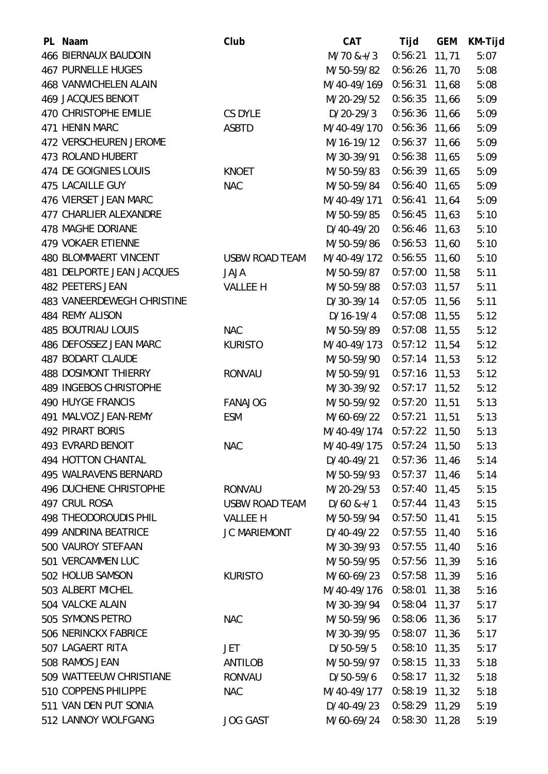| PL Naam                       | Club                  | <b>CAT</b>                | Tijd            | <b>GEM</b> | KM-Tijd |
|-------------------------------|-----------------------|---------------------------|-----------------|------------|---------|
| 466 BIERNAUX BAUDOIN          |                       | $M/70$ &+/3               | 0:56:21         | 11,71      | 5:07    |
| <b>467 PURNELLE HUGES</b>     |                       | M/50-59/82                | $0:56:26$ 11,70 |            | 5:08    |
| 468 VANWICHELEN ALAIN         |                       | M/40-49/169               | $0:56:31$ 11,68 |            | 5:08    |
| <b>469 JACQUES BENOIT</b>     |                       | M/20-29/52                | $0:56:35$ 11,66 |            | 5:09    |
| 470 CHRISTOPHE EMILIE         | CS DYLE               | $D/20-29/3$               | $0:56:36$ 11,66 |            | 5:09    |
| 471 HENIN MARC                | <b>ASBTD</b>          | M/40-49/170               | $0:56:36$ 11,66 |            | 5:09    |
| 472 VERSCHEUREN JEROME        |                       | M/16-19/12                | $0:56:37$ 11,66 |            | 5:09    |
| 473 ROLAND HUBERT             |                       | M/30-39/91                | $0:56:38$ 11,65 |            | 5:09    |
| 474 DE GOIGNIES LOUIS         | <b>KNOET</b>          | M/50-59/83                | $0:56:39$ 11,65 |            | 5:09    |
| 475 LACAILLE GUY              | <b>NAC</b>            | M/50-59/84                | $0:56:40$ 11,65 |            | 5:09    |
| 476 VIERSET JEAN MARC         |                       | M/40-49/171               | $0:56:41$ 11,64 |            | 5:09    |
| 477 CHARLIER ALEXANDRE        |                       | M/50-59/85                | $0:56:45$ 11,63 |            | 5:10    |
| 478 MAGHE DORIANE             |                       | D/40-49/20                | $0:56:46$ 11,63 |            | 5:10    |
| 479 VOKAER ETIENNE            |                       | M/50-59/86                | $0:56:53$ 11,60 |            | 5:10    |
| 480 BLOMMAERT VINCENT         | USBW ROAD TEAM        | M/40-49/172 0:56:55 11,60 |                 |            | 5:10    |
| 481 DELPORTE JEAN JACQUES     | <b>JAJA</b>           | M/50-59/87                | $0:57:00$ 11,58 |            | 5:11    |
| 482 PEETERS JEAN              | <b>VALLEE H</b>       | M/50-59/88                | $0:57:03$ 11,57 |            | 5:11    |
| 483 VANEERDEWEGH CHRISTINE    |                       | D/30-39/14                | $0:57:05$ 11,56 |            | 5:11    |
| 484 REMY ALISON               |                       | D/16-19/4                 | $0:57:08$ 11,55 |            | 5:12    |
| <b>485 BOUTRIAU LOUIS</b>     | <b>NAC</b>            | M/50-59/89                | $0:57:08$ 11,55 |            | 5:12    |
| 486 DEFOSSEZ JEAN MARC        | <b>KURISTO</b>        | M/40-49/173               | $0:57:12$ 11,54 |            | 5:12    |
| <b>487 BODART CLAUDE</b>      |                       | M/50-59/90                | $0:57:14$ 11,53 |            | 5:12    |
| <b>488 DOSIMONT THIERRY</b>   | <b>RONVAU</b>         | M/50-59/91                | $0:57:16$ 11,53 |            | 5:12    |
| <b>489 INGEBOS CHRISTOPHE</b> |                       | M/30-39/92                | $0:57:17$ 11,52 |            | 5:12    |
| <b>490 HUYGE FRANCIS</b>      | <b>FANAJOG</b>        | M/50-59/92                | $0:57:20$ 11,51 |            | 5:13    |
| 491 MALVOZ JEAN-REMY          | <b>ESM</b>            | M/60-69/22                | $0:57:21$ 11,51 |            | 5:13    |
| <b>492 PIRART BORIS</b>       |                       | M/40-49/174 0:57:22 11,50 |                 |            | 5:13    |
| 493 EVRARD BENOIT             | <b>NAC</b>            | M/40-49/175 0:57:24 11,50 |                 |            | 5:13    |
| 494 HOTTON CHANTAL            |                       | D/40-49/21                | $0:57:36$ 11,46 |            | 5:14    |
| 495 WALRAVENS BERNARD         |                       | M/50-59/93                | $0:57:37$ 11,46 |            | 5:14    |
| 496 DUCHENE CHRISTOPHE        | <b>RONVAU</b>         | M/20-29/53                | $0:57:40$ 11,45 |            | 5:15    |
| 497 CRUL ROSA                 | <b>USBW ROAD TEAM</b> | $D/60$ &+/1               | $0:57:44$ 11,43 |            | 5:15    |
| 498 THEODOROUDIS PHIL         | <b>VALLEE H</b>       | M/50-59/94                | $0:57:50$ 11,41 |            | 5:15    |
| 499 ANDRINA BEATRICE          | JC MARIEMONT          | D/40-49/22                | $0:57:55$ 11,40 |            | 5:16    |
| 500 VAUROY STEFAAN            |                       | M/30-39/93                | $0:57:55$ 11,40 |            | 5:16    |
| 501 VERCAMMEN LUC             |                       | M/50-59/95                | $0:57:56$ 11,39 |            | 5:16    |
| 502 HOLUB SAMSON              | <b>KURISTO</b>        | M/60-69/23                | $0:57:58$ 11,39 |            | 5:16    |
| 503 ALBERT MICHEL             |                       | M/40-49/176               | $0:58:01$ 11,38 |            | 5:16    |
| 504 VALCKE ALAIN              |                       | M/30-39/94                | $0:58:04$ 11,37 |            | 5:17    |
| 505 SYMONS PETRO              | <b>NAC</b>            | M/50-59/96                | $0:58:06$ 11,36 |            | 5:17    |
| 506 NERINCKX FABRICE          |                       | M/30-39/95                | $0:58:07$ 11,36 |            | 5:17    |
| 507 LAGAERT RITA              | JET                   | D/50-59/5                 | $0:58:10$ 11,35 |            | 5:17    |
| 508 RAMOS JEAN                | ANTILOB               | M/50-59/97                | $0:58:15$ 11,33 |            | 5:18    |
| 509 WATTEEUW CHRISTIANE       | <b>RONVAU</b>         | D/50-59/6                 | $0:58:17$ 11,32 |            | 5:18    |
| 510 COPPENS PHILIPPE          | <b>NAC</b>            | M/40-49/177               | $0:58:19$ 11,32 |            | 5:18    |
| 511 VAN DEN PUT SONIA         |                       | D/40-49/23                | 0:58:29 11,29   |            | 5:19    |
| 512 LANNOY WOLFGANG           | <b>JOG GAST</b>       | M/60-69/24                | $0:58:30$ 11,28 |            | 5:19    |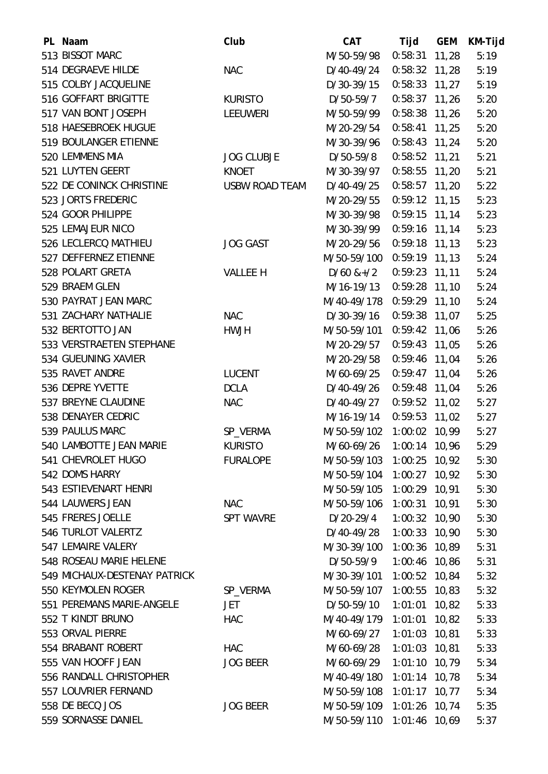| PL Naam                      | Club                  | <b>CAT</b>                | Tijd            | <b>GEM</b> | KM-Tijd |
|------------------------------|-----------------------|---------------------------|-----------------|------------|---------|
| 513 BISSOT MARC              |                       | M/50-59/98                | 0:58:31         | 11,28      | 5:19    |
| 514 DEGRAEVE HILDE           | <b>NAC</b>            | D/40-49/24                | $0:58:32$ 11,28 |            | 5:19    |
| 515 COLBY JACQUELINE         |                       | D/30-39/15                | $0:58:33$ 11,27 |            | 5:19    |
| 516 GOFFART BRIGITTE         | <b>KURISTO</b>        | D/50-59/7                 | $0:58:37$ 11,26 |            | 5:20    |
| 517 VAN BONT JOSEPH          | <b>LEEUWERI</b>       | M/50-59/99                | $0:58:38$ 11,26 |            | 5:20    |
| 518 HAESEBROEK HUGUE         |                       | M/20-29/54                | $0:58:41$ 11,25 |            | 5:20    |
| 519 BOULANGER ETIENNE        |                       | M/30-39/96                | $0:58:43$ 11,24 |            | 5:20    |
| 520 LEMMENS MIA              | <b>JOG CLUBJE</b>     | D/50-59/8                 | $0:58:52$ 11,21 |            | 5:21    |
| 521 LUYTEN GEERT             | <b>KNOET</b>          | M/30-39/97                | $0:58:55$ 11,20 |            | 5:21    |
| 522 DE CONINCK CHRISTINE     | <b>USBW ROAD TEAM</b> | D/40-49/25                | $0:58:57$ 11,20 |            | 5:22    |
| 523 JORTS FREDERIC           |                       | M/20-29/55                | $0:59:12$ 11,15 |            | 5:23    |
| 524 GOOR PHILIPPE            |                       | M/30-39/98                | $0:59:15$ 11,14 |            | 5:23    |
| 525 LEMAJEUR NICO            |                       | M/30-39/99                | $0:59:16$ 11,14 |            | 5:23    |
| 526 LECLERCQ MATHIEU         | <b>JOG GAST</b>       | M/20-29/56                | $0:59:18$ 11,13 |            | 5:23    |
| 527 DEFFERNEZ ETIENNE        |                       | M/50-59/100               | $0:59:19$ 11,13 |            | 5:24    |
| 528 POLART GRETA             | <b>VALLEE H</b>       | $D/60$ & + $/2$           | $0:59:23$ 11,11 |            | 5:24    |
| 529 BRAEM GLEN               |                       | M/16-19/13                | $0:59:28$ 11,10 |            | 5:24    |
| 530 PAYRAT JEAN MARC         |                       | M/40-49/178               | $0:59:29$ 11,10 |            | 5:24    |
| 531 ZACHARY NATHALIE         | <b>NAC</b>            | D/30-39/16                | $0:59:38$ 11,07 |            | 5:25    |
| 532 BERTOTTO JAN             | <b>HWJH</b>           | M/50-59/101               | $0:59:42$ 11,06 |            | 5:26    |
| 533 VERSTRAETEN STEPHANE     |                       | M/20-29/57                | $0:59:43$ 11,05 |            | 5:26    |
| 534 GUEUNING XAVIER          |                       | M/20-29/58                | $0:59:46$ 11,04 |            | 5:26    |
| 535 RAVET ANDRE              | <b>LUCENT</b>         | M/60-69/25                | $0:59:47$ 11,04 |            | 5:26    |
| 536 DEPRE YVETTE             | <b>DCLA</b>           | D/40-49/26                | $0:59:48$ 11,04 |            | 5:26    |
| 537 BREYNE CLAUDINE          | <b>NAC</b>            | D/40-49/27                | $0:59:52$ 11,02 |            | 5:27    |
| 538 DENAYER CEDRIC           |                       | M/16-19/14                | $0:59:53$ 11,02 |            | 5:27    |
| 539 PAULUS MARC              | SP_VERMA              | M/50-59/102               | 1:00:02 10,99   |            | 5:27    |
| 540 LAMBOTTE JEAN MARIE      | <b>KURISTO</b>        | M/60-69/26 1:00:14 10,96  |                 |            | 5:29    |
| 541 CHEVROLET HUGO           | <b>FURALOPE</b>       | M/50-59/103               | $1:00:25$ 10,92 |            | 5:30    |
| 542 DOMS HARRY               |                       | M/50-59/104               | 1:00:27 10,92   |            | 5:30    |
| 543 ESTIEVENART HENRI        |                       | M/50-59/105               | 1:00:29 10,91   |            | 5:30    |
| 544 LAUWERS JEAN             | <b>NAC</b>            | M/50-59/106               | 1:00:31 10,91   |            | 5:30    |
| 545 FRERES JOELLE            | <b>SPT WAVRE</b>      | $D/20-29/4$               | $1:00:32$ 10,90 |            | 5:30    |
| 546 TURLOT VALERTZ           |                       | D/40-49/28                | 1:00:33 10,90   |            | 5:30    |
| 547 LEMAIRE VALERY           |                       | M/30-39/100               | 1:00:36 10,89   |            | 5:31    |
| 548 ROSEAU MARIE HELENE      |                       | D/50-59/9                 | 1:00:46 10,86   |            | 5:31    |
| 549 MICHAUX-DESTENAY PATRICK |                       | M/30-39/101               | 1:00:52 10,84   |            | 5:32    |
| 550 KEYMOLEN ROGER           | SP_VERMA              | M/50-59/107               | $1:00:55$ 10,83 |            | 5:32    |
| 551 PEREMANS MARIE-ANGELE    | JET                   | D/50-59/10                | $1:01:01$ 10,82 |            | 5:33    |
| 552 T KINDT BRUNO            | <b>HAC</b>            | M/40-49/179               | 1:01:01 10,82   |            | 5:33    |
| 553 ORVAL PIERRE             |                       | M/60-69/27                | $1:01:03$ 10,81 |            | 5:33    |
| 554 BRABANT ROBERT           | <b>HAC</b>            | M/60-69/28                | $1:01:03$ 10,81 |            | 5:33    |
| 555 VAN HOOFF JEAN           | <b>JOG BEER</b>       | M/60-69/29                | $1:01:10$ 10,79 |            | 5:34    |
| 556 RANDALL CHRISTOPHER      |                       | M/40-49/180               | $1:01:14$ 10,78 |            | 5:34    |
| 557 LOUVRIER FERNAND         |                       | M/50-59/108               | $1:01:17$ 10,77 |            | 5:34    |
| 558 DE BECQ JOS              | <b>JOG BEER</b>       | M/50-59/109 1:01:26 10,74 |                 |            | 5:35    |
| 559 SORNASSE DANIEL          |                       | M/50-59/110               | 1:01:46 10,69   |            | 5:37    |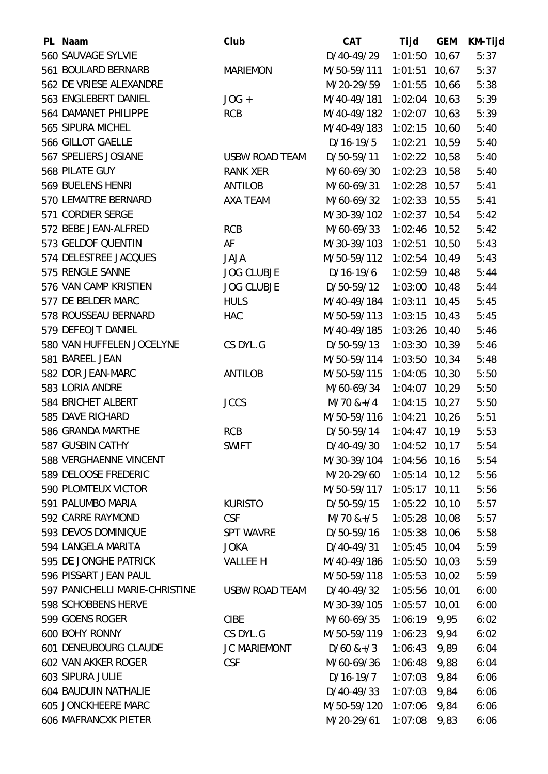| PL Naam                        | Club                  | <b>CAT</b>                | Tijd            | <b>GEM</b> | KM-Tijd |
|--------------------------------|-----------------------|---------------------------|-----------------|------------|---------|
| 560 SAUVAGE SYLVIE             |                       | D/40-49/29                | $1:01:50$ 10,67 |            | 5:37    |
| 561 BOULARD BERNARB            | <b>MARIEMON</b>       | M/50-59/111               | $1:01:51$ 10,67 |            | 5:37    |
| 562 DE VRIESE ALEXANDRE        |                       | M/20-29/59                | $1:01:55$ 10,66 |            | 5:38    |
| 563 ENGLEBERT DANIEL           | $JOG +$               | M/40-49/181               | $1:02:04$ 10,63 |            | 5:39    |
| 564 DAMANET PHILIPPE           | <b>RCB</b>            | M/40-49/182               | 1:02:07 10,63   |            | 5:39    |
| 565 SIPURA MICHEL              |                       | M/40-49/183               | $1:02:15$ 10,60 |            | 5:40    |
| 566 GILLOT GAELLE              |                       | $D/16-19/5$               | $1:02:21$ 10,59 |            | 5:40    |
| 567 SPELIERS JOSIANE           | <b>USBW ROAD TEAM</b> | $D/50-59/11$              | 1:02:22 10,58   |            | 5:40    |
| 568 PILATE GUY                 | <b>RANK XER</b>       | M/60-69/30                | $1:02:23$ 10,58 |            | 5:40    |
| 569 BUELENS HENRI              | ANTILOB               | M/60-69/31                | $1:02:28$ 10,57 |            | 5:41    |
| 570 LEMAITRE BERNARD           | <b>AXA TEAM</b>       | M/60-69/32                | 1:02:33 10,55   |            | 5:41    |
| 571 CORDIER SERGE              |                       | M/30-39/102 1:02:37 10,54 |                 |            | 5:42    |
| 572 BEBE JEAN-ALFRED           | <b>RCB</b>            | M/60-69/33                | 1:02:46 10,52   |            | 5:42    |
| 573 GELDOF QUENTIN             | AF                    | M/30-39/103               | $1:02:51$ 10,50 |            | 5:43    |
| 574 DELESTREE JACQUES          | <b>JAJA</b>           | M/50-59/112               | 1:02:54 10,49   |            | 5:43    |
| 575 RENGLE SANNE               | <b>JOG CLUBJE</b>     | $D/16-19/6$               | 1:02:59 10,48   |            | 5:44    |
| 576 VAN CAMP KRISTIEN          | <b>JOG CLUBJE</b>     | D/50-59/12                | $1:03:00$ 10,48 |            | 5:44    |
| 577 DE BELDER MARC             | <b>HULS</b>           | M/40-49/184               | $1:03:11$ 10,45 |            | 5:45    |
| 578 ROUSSEAU BERNARD           | <b>HAC</b>            | M/50-59/113               | $1:03:15$ 10,43 |            | 5:45    |
| 579 DEFEOJT DANIEL             |                       | M/40-49/185               | $1:03:26$ 10,40 |            | 5:46    |
| 580 VAN HUFFELEN JOCELYNE      | CS DYL.G              | D/50-59/13                | $1:03:30$ 10,39 |            | 5:46    |
| 581 BAREEL JEAN                |                       | M/50-59/114               | 1:03:50 10,34   |            | 5:48    |
| 582 DOR JEAN-MARC              | <b>ANTILOB</b>        | M/50-59/115               | 1:04:05 10,30   |            | 5:50    |
| 583 LORIA ANDRE                |                       | M/60-69/34                | $1:04:07$ 10,29 |            | 5:50    |
| 584 BRICHET ALBERT             | <b>JCCS</b>           | $M/70$ &+/4               | $1:04:15$ 10,27 |            | 5:50    |
| 585 DAVE RICHARD               |                       | M/50-59/116               | $1:04:21$ 10,26 |            | 5:51    |
| 586 GRANDA MARTHE              | <b>RCB</b>            | D/50-59/14                | $1:04:47$ 10,19 |            | 5:53    |
| 587 GUSBIN CATHY               | <b>SWIFT</b>          | D/40-49/30 1:04:52 10,17  |                 |            | 5:54    |
| 588 VERGHAENNE VINCENT         |                       | M/30-39/104               | 1:04:56 10,16   |            | 5:54    |
| 589 DELOOSE FREDERIC           |                       | M/20-29/60                | $1:05:14$ 10,12 |            | 5:56    |
| 590 PLOMTEUX VICTOR            |                       | M/50-59/117 1:05:17 10,11 |                 |            | 5:56    |
| 591 PALUMBO MARIA              | <b>KURISTO</b>        | D/50-59/15                | 1:05:22 10,10   |            | 5:57    |
| 592 CARRE RAYMOND              | <b>CSF</b>            | $M/70$ &+/5               | 1:05:28 10,08   |            | 5:57    |
| 593 DEVOS DOMINIQUE            | <b>SPT WAVRE</b>      | D/50-59/16                | 1:05:38 10,06   |            | 5:58    |
| 594 LANGELA MARITA             | <b>JOKA</b>           | D/40-49/31                | 1:05:45 10,04   |            | 5:59    |
| 595 DE JONGHE PATRICK          | <b>VALLEE H</b>       | M/40-49/186               | $1:05:50$ 10,03 |            | 5:59    |
| 596 PISSART JEAN PAUL          |                       | M/50-59/118 1:05:53 10,02 |                 |            | 5:59    |
| 597 PANICHELLI MARIE-CHRISTINE | <b>USBW ROAD TEAM</b> | D/40-49/32                | 1:05:56 10,01   |            | 6:00    |
| 598 SCHOBBENS HERVE            |                       | M/30-39/105               | $1:05:57$ 10,01 |            | 6:00    |
| 599 GOENS ROGER                | <b>CIBE</b>           | M/60-69/35                | 1:06:19         | 9,95       | 6:02    |
| 600 BOHY RONNY                 | CS DYL.G              | M/50-59/119               | 1:06:23         | 9,94       | 6:02    |
| 601 DENEUBOURG CLAUDE          | <b>JC MARIEMONT</b>   | $D/60$ &+ $/3$            | 1:06:43         | 9,89       | 6:04    |
| 602 VAN AKKER ROGER            | <b>CSF</b>            | M/60-69/36                | 1:06:48         | 9,88       | 6:04    |
| 603 SIPURA JULIE               |                       | D/16-19/7                 | 1:07:03         | 9,84       | 6:06    |
| <b>604 BAUDUIN NATHALIE</b>    |                       | D/40-49/33                | 1:07:03         | 9,84       | 6:06    |
| <b>605 JONCKHEERE MARC</b>     |                       | M/50-59/120               | 1:07:06         | 9,84       | 6:06    |
| <b>606 MAFRANCXK PIETER</b>    |                       | M/20-29/61                | 1:07:08         | 9,83       | 6:06    |